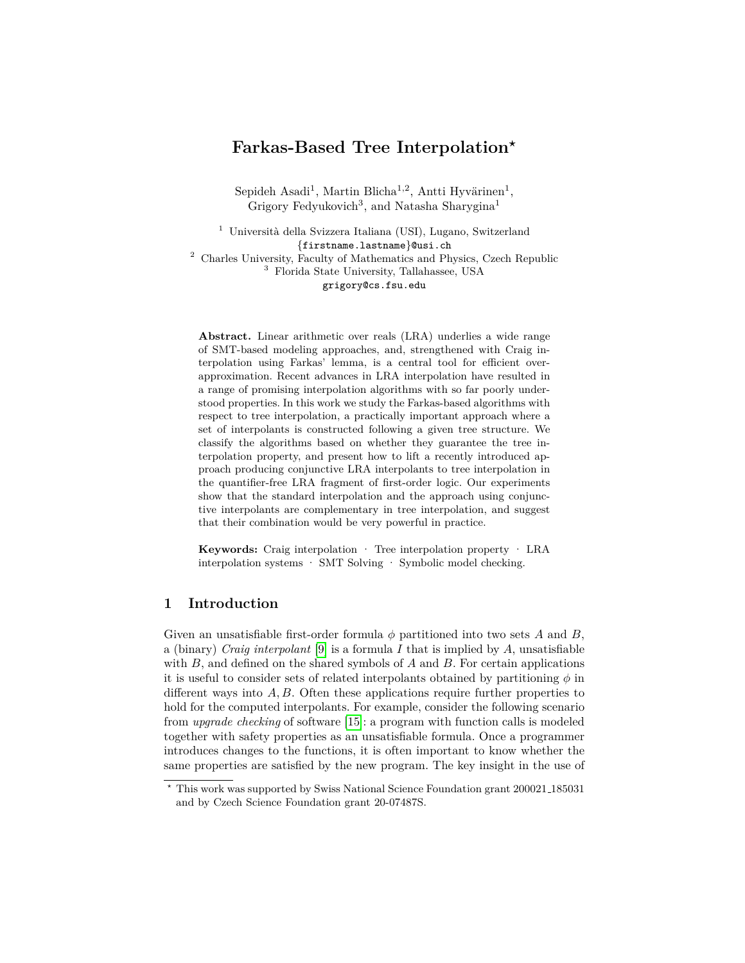# <span id="page-0-0"></span>**Farkas-Based Tree Interpolation***?*

Sepideh Asadi<sup>1</sup>, Martin Blicha<sup>1,2</sup>, Antti Hyvärinen<sup>1</sup>, Grigory Fedyukovich<sup>3</sup>, and Natasha Sharygina<sup>1</sup>

<sup>1</sup> Università della Svizzera Italiana (USI), Lugano, Switzerland {firstname.lastname}@usi.ch <sup>2</sup> Charles University, Faculty of Mathematics and Physics, Czech Republic <sup>3</sup> Florida State University, Tallahassee, USA grigory@cs.fsu.edu

**Abstract.** Linear arithmetic over reals (LRA) underlies a wide range of SMT-based modeling approaches, and, strengthened with Craig interpolation using Farkas' lemma, is a central tool for efficient overapproximation. Recent advances in LRA interpolation have resulted in a range of promising interpolation algorithms with so far poorly understood properties. In this work we study the Farkas-based algorithms with respect to tree interpolation, a practically important approach where a set of interpolants is constructed following a given tree structure. We classify the algorithms based on whether they guarantee the tree interpolation property, and present how to lift a recently introduced approach producing conjunctive LRA interpolants to tree interpolation in the quantifier-free LRA fragment of first-order logic. Our experiments show that the standard interpolation and the approach using conjunctive interpolants are complementary in tree interpolation, and suggest that their combination would be very powerful in practice.

**Keywords:** Craig interpolation · Tree interpolation property · LRA interpolation systems · SMT Solving · Symbolic model checking.

### **1 Introduction**

Given an unsatisfiable first-order formula  $\phi$  partitioned into two sets *A* and *B*, a (binary) *Craig interpolant* [\[9\]](#page-18-0) is a formula *I* that is implied by *A*, unsatisfiable with *B*, and defined on the shared symbols of *A* and *B*. For certain applications it is useful to consider sets of related interpolants obtained by partitioning  $\phi$  in different ways into  $A, B$ . Often these applications require further properties to hold for the computed interpolants. For example, consider the following scenario from *upgrade checking* of software [\[15\]](#page-19-0): a program with function calls is modeled together with safety properties as an unsatisfiable formula. Once a programmer introduces changes to the functions, it is often important to know whether the same properties are satisfied by the new program. The key insight in the use of

*<sup>?</sup>* This work was supported by Swiss National Science Foundation grant 200021 185031 and by Czech Science Foundation grant 20-07487S.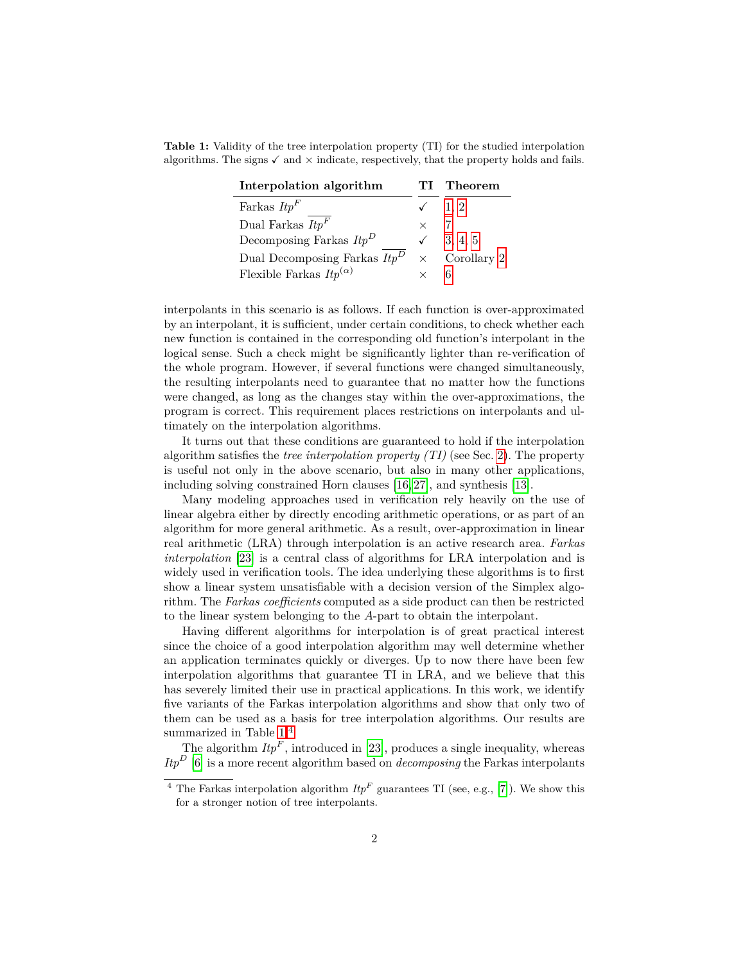<span id="page-1-0"></span>**Table 1:** Validity of the tree interpolation property (TI) for the studied interpolation algorithms. The signs  $\checkmark$  and  $\times$  indicate, respectively, that the property holds and fails.

| Interpolation algorithm          |            | <b>TI</b> Theorem    |
|----------------------------------|------------|----------------------|
| Farkas $Itp^F$                   |            | $\checkmark$ 1, 2    |
| Dual Farkas $Itp^F$              | $\times$ 7 |                      |
| Decomposing Farkas $Itp^D$       |            | $\sqrt{3, 4, 5}$     |
| Dual Decomposing Farkas $Itp^D$  |            | $\times$ Corollary 2 |
| Flexible Farkas $Itp^{(\alpha)}$ |            |                      |

interpolants in this scenario is as follows. If each function is over-approximated by an interpolant, it is sufficient, under certain conditions, to check whether each new function is contained in the corresponding old function's interpolant in the logical sense. Such a check might be significantly lighter than re-verification of the whole program. However, if several functions were changed simultaneously, the resulting interpolants need to guarantee that no matter how the functions were changed, as long as the changes stay within the over-approximations, the program is correct. This requirement places restrictions on interpolants and ultimately on the interpolation algorithms.

It turns out that these conditions are guaranteed to hold if the interpolation algorithm satisfies the *tree interpolation property (TI)* (see Sec. [2\)](#page-3-0). The property is useful not only in the above scenario, but also in many other applications, including solving constrained Horn clauses [\[16,](#page-19-1) [27\]](#page-19-2), and synthesis [\[13\]](#page-19-3).

Many modeling approaches used in verification rely heavily on the use of linear algebra either by directly encoding arithmetic operations, or as part of an algorithm for more general arithmetic. As a result, over-approximation in linear real arithmetic (LRA) through interpolation is an active research area. *Farkas interpolation* [\[23\]](#page-19-4) is a central class of algorithms for LRA interpolation and is widely used in verification tools. The idea underlying these algorithms is to first show a linear system unsatisfiable with a decision version of the Simplex algorithm. The *Farkas coefficients* computed as a side product can then be restricted to the linear system belonging to the *A*-part to obtain the interpolant.

Having different algorithms for interpolation is of great practical interest since the choice of a good interpolation algorithm may well determine whether an application terminates quickly or diverges. Up to now there have been few interpolation algorithms that guarantee TI in LRA, and we believe that this has severely limited their use in practical applications. In this work, we identify five variants of the Farkas interpolation algorithms and show that only two of them can be used as a basis for tree interpolation algorithms. Our results are summarized in Table [1.](#page-1-0)[4](#page-0-0)

The algorithm  $Itp^F$ , introduced in [\[23\]](#page-19-4), produces a single inequality, whereas *Itp<sup>D</sup>* [\[6\]](#page-18-1) is a more recent algorithm based on *decomposing* the Farkas interpolants

<sup>&</sup>lt;sup>4</sup> The Farkas interpolation algorithm  $Itp^F$  guarantees TI (see, e.g., [\[7\]](#page-18-2)). We show this for a stronger notion of tree interpolants.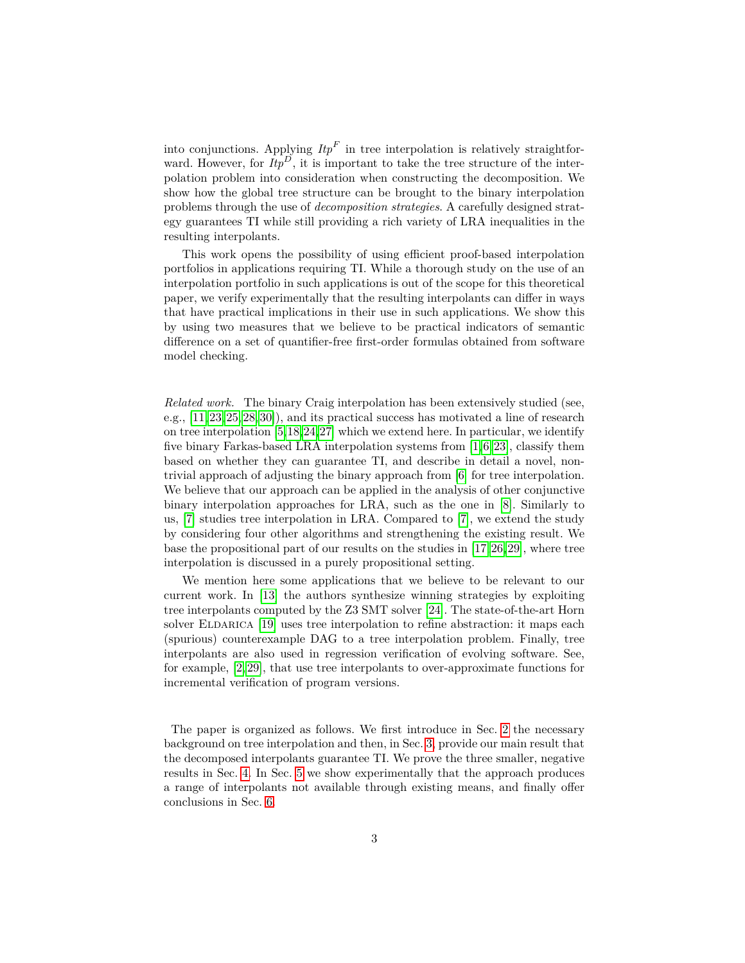into conjunctions. Applying *Itp<sup>F</sup>* in tree interpolation is relatively straightforward. However, for  $Itp^D$ , it is important to take the tree structure of the interpolation problem into consideration when constructing the decomposition. We show how the global tree structure can be brought to the binary interpolation problems through the use of *decomposition strategies*. A carefully designed strategy guarantees TI while still providing a rich variety of LRA inequalities in the resulting interpolants.

This work opens the possibility of using efficient proof-based interpolation portfolios in applications requiring TI. While a thorough study on the use of an interpolation portfolio in such applications is out of the scope for this theoretical paper, we verify experimentally that the resulting interpolants can differ in ways that have practical implications in their use in such applications. We show this by using two measures that we believe to be practical indicators of semantic difference on a set of quantifier-free first-order formulas obtained from software model checking.

*Related work.* The binary Craig interpolation has been extensively studied (see, e.g., [\[11,](#page-19-5) [23,](#page-19-4) [25,](#page-19-6) [28,](#page-19-7) [30\]](#page-19-8)), and its practical success has motivated a line of research on tree interpolation  $[5,18,24,27]$  $[5,18,24,27]$  $[5,18,24,27]$  $[5,18,24,27]$  which we extend here. In particular, we identify five binary Farkas-based LRA interpolation systems from [\[1,](#page-18-4)[6,](#page-18-1)[23\]](#page-19-4), classify them based on whether they can guarantee TI, and describe in detail a novel, nontrivial approach of adjusting the binary approach from [\[6\]](#page-18-1) for tree interpolation. We believe that our approach can be applied in the analysis of other conjunctive binary interpolation approaches for LRA, such as the one in [\[8\]](#page-18-5). Similarly to us, [\[7\]](#page-18-2) studies tree interpolation in LRA. Compared to [\[7\]](#page-18-2), we extend the study by considering four other algorithms and strengthening the existing result. We base the propositional part of our results on the studies in [\[17,](#page-19-11)[26,](#page-19-12)[29\]](#page-19-13), where tree interpolation is discussed in a purely propositional setting.

We mention here some applications that we believe to be relevant to our current work. In [\[13\]](#page-19-3) the authors synthesize winning strategies by exploiting tree interpolants computed by the Z3 SMT solver [\[24\]](#page-19-10). The state-of-the-art Horn solver ELDARICA [\[19\]](#page-19-14) uses tree interpolation to refine abstraction: it maps each (spurious) counterexample DAG to a tree interpolation problem. Finally, tree interpolants are also used in regression verification of evolving software. See, for example, [\[2,](#page-18-6) [29\]](#page-19-13), that use tree interpolants to over-approximate functions for incremental verification of program versions.

The paper is organized as follows. We first introduce in Sec. [2](#page-3-0) the necessary background on tree interpolation and then, in Sec. [3,](#page-5-0) provide our main result that the decomposed interpolants guarantee TI. We prove the three smaller, negative results in Sec. [4.](#page-15-1) In Sec. [5](#page-16-2) we show experimentally that the approach produces a range of interpolants not available through existing means, and finally offer conclusions in Sec. [6.](#page-18-7)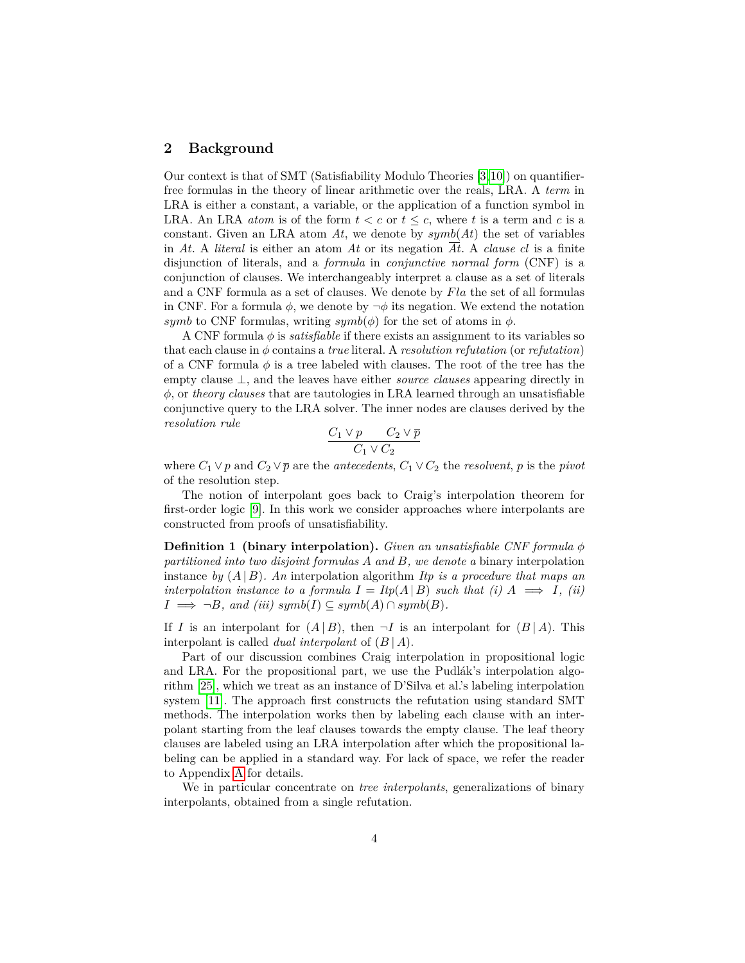### <span id="page-3-0"></span>**2 Background**

Our context is that of SMT (Satisfiability Modulo Theories [\[3,](#page-18-8)[10\]](#page-18-9)) on quantifierfree formulas in the theory of linear arithmetic over the reals, LRA. A *term* in LRA is either a constant, a variable, or the application of a function symbol in LRA. An LRA *atom* is of the form  $t < c$  or  $t \leq c$ , where *t* is a term and *c* is a constant. Given an LRA atom *At*, we denote by *symb*(*At*) the set of variables in At. A *literal* is either an atom At or its negation  $\overline{At}$ . A *clause cl* is a finite disjunction of literals, and a *formula* in *conjunctive normal form* (CNF) is a conjunction of clauses. We interchangeably interpret a clause as a set of literals and a CNF formula as a set of clauses. We denote by *Fla* the set of all formulas in CNF. For a formula  $\phi$ , we denote by  $\neg \phi$  its negation. We extend the notation *symb* to CNF formulas, writing  $symb(\phi)$  for the set of atoms in  $\phi$ .

A CNF formula  $\phi$  is *satisfiable* if there exists an assignment to its variables so that each clause in *φ* contains a *true* literal. A *resolution refutation* (or *refutation*) of a CNF formula  $\phi$  is a tree labeled with clauses. The root of the tree has the empty clause ⊥, and the leaves have either *source clauses* appearing directly in *φ*, or *theory clauses* that are tautologies in LRA learned through an unsatisfiable conjunctive query to the LRA solver. The inner nodes are clauses derived by the *resolution rule*

$$
\frac{C_1 \vee p \qquad C_2 \vee \overline{p}}{C_1 \vee C_2}
$$

where  $C_1 \vee p$  and  $C_2 \vee \overline{p}$  are the *antecedents*,  $C_1 \vee C_2$  the *resolvent*, *p* is the *pivot* of the resolution step.

The notion of interpolant goes back to Craig's interpolation theorem for first-order logic [\[9\]](#page-18-0). In this work we consider approaches where interpolants are constructed from proofs of unsatisfiability.

**Definition 1 (binary interpolation).** *Given an unsatisfiable CNF formula φ partitioned into two disjoint formulas A and B, we denote a* binary interpolation instance by  $(A | B)$ *. An* interpolation algorithm *Itp is a procedure that maps an interpolation instance to a formula*  $I = Itp(A|B)$  *such that (i)*  $A \implies I$ , *(ii)*  $I \implies \neg B$ *, and (iii)*  $symb(I) \subseteq symbol(A) \cap symbol(B)$ *.* 

If *I* is an interpolant for  $(A | B)$ , then  $\neg I$  is an interpolant for  $(B | A)$ . This interpolant is called *dual interpolant* of (*B* | *A*).

Part of our discussion combines Craig interpolation in propositional logic and LRA. For the propositional part, we use the Pudlák's interpolation algorithm [\[25\]](#page-19-6), which we treat as an instance of D'Silva et al.'s labeling interpolation system [\[11\]](#page-19-5). The approach first constructs the refutation using standard SMT methods. The interpolation works then by labeling each clause with an interpolant starting from the leaf clauses towards the empty clause. The leaf theory clauses are labeled using an LRA interpolation after which the propositional labeling can be applied in a standard way. For lack of space, we refer the reader to Appendix [A](#page-19-15) for details.

<span id="page-3-1"></span>We in particular concentrate on *tree interpolants*, generalizations of binary interpolants, obtained from a single refutation.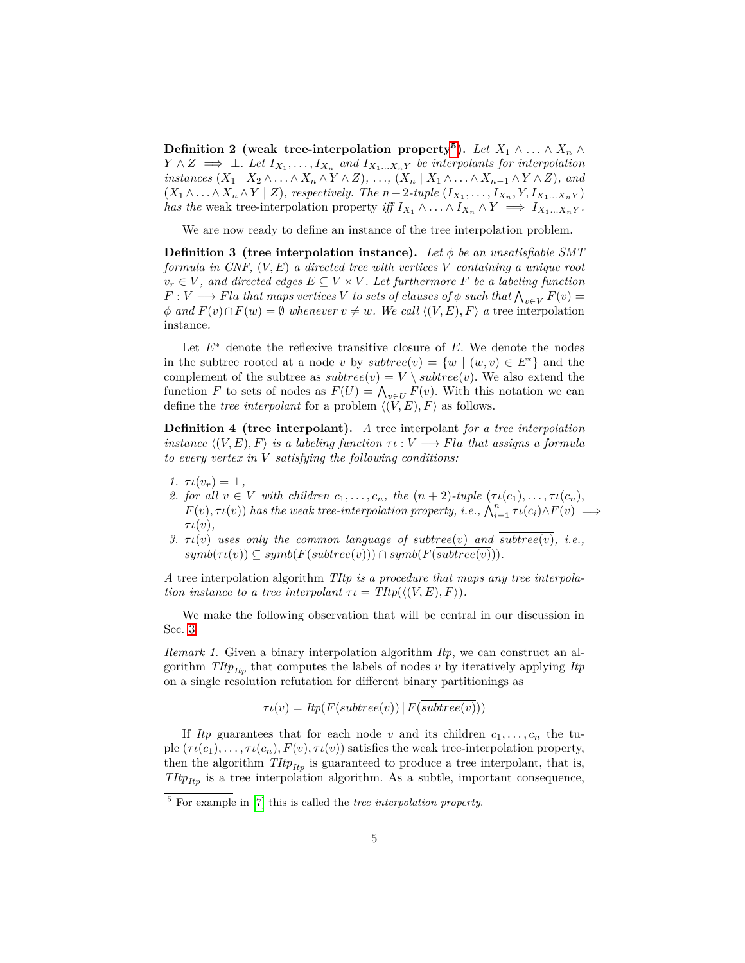$\textbf{Definition 2 (weak tree-interpolation property}$ <sup>[5](#page-0-0)</sup>). *Let*  $X_1 \wedge \ldots \wedge X_n \wedge$  $Y \wedge Z \implies \bot$ *. Let*  $I_{X_1}, \ldots, I_{X_n}$  and  $I_{X_1 \ldots X_n}$  *be interpolants for interpolation* instances  $(X_1 | X_2 \wedge ... \wedge X_n \wedge Y \wedge Z), ..., (X_n | X_1 \wedge ... \wedge X_{n-1} \wedge Y \wedge Z),$  and  $(X_1 \wedge \ldots \wedge X_n \wedge Y \mid Z)$ , respectively. The  $n+2$ -tuple  $(I_{X_1}, \ldots, I_{X_n}, Y, I_{X_1 \ldots X_n} Y)$ *has the* weak tree-interpolation property *iff*  $I_{X_1} \wedge \ldots \wedge I_{X_n} \wedge Y \implies I_{X_1 \ldots X_n} Y$ .

<span id="page-4-1"></span>We are now ready to define an instance of the tree interpolation problem.

**Definition 3** (tree interpolation instance). Let  $\phi$  be an unsatisfiable SMT *formula in CNF,* (*V, E*) *a directed tree with vertices V containing a unique root*  $v_r \in V$ , and directed edges  $E \subseteq V \times V$ . Let furthermore  $F$  be a labeling function  $F: V \longrightarrow F$ *la that maps vertices*  $V$  *to sets of clauses of*  $\phi$  *such that*  $\bigwedge_{v \in V} F(v) =$  $\phi$  *and*  $F(v) \cap F(w) = \emptyset$  *whenever*  $v \neq w$ *. We call*  $\langle (V, E), F \rangle$  *a* tree interpolation instance*.*

Let *E*<sup>∗</sup> denote the reflexive transitive closure of *E*. We denote the nodes in the subtree rooted at a node *v* by *subtree*(*v*) =  $\{w \mid (w, v) \in E^*\}$  and the complement of the subtree as  $subtree(v) = V \setminus subtree(v)$ . We also extend the function *F* to sets of nodes as  $F(U) = \bigwedge_{v \in U} F(v)$ . With this notation we can define the *tree interpolant* for a problem  $\langle (V, E), F \rangle$  as follows.

**Definition 4 (tree interpolant).** *A* tree interpolant *for a tree interpolation instance*  $\langle (V, E), F \rangle$  *is a labeling function*  $\tau \iota : V \longrightarrow F$ *la that assigns a formula to every vertex in V satisfying the following conditions:*

- *1.*  $\tau \iota(v_r) = \bot$ ,
- *2. for all*  $v \in V$  *with children*  $c_1, \ldots, c_n$ *, the*  $(n+2)$ *-tuple*  $(\tau \iota(c_1), \ldots, \tau \iota(c_n))$ *,*  $F(v), \tau \iota(v)$ ) has the weak tree-interpolation property, i.e.,  $\bigwedge_{i=1}^{n} \tau \iota(c_i) \wedge F(v) \implies$ *τ ι*(*v*)*,*
- *3. τ ι*(*v*) *uses only the common language of subtree*(*v*) *and subtree*(*v*)*, i.e.,*  $symb(\tau\iota(v)) \subseteq symbol(F(subtree(v))) \cap symbol(F(\overline{subtree(v)})).$

*A* tree interpolation algorithm *TItp is a procedure that maps any tree interpolation instance to a tree interpolant*  $\tau \iota = \text{T} \text{Itp}(\langle (V, E), F \rangle).$ 

<span id="page-4-0"></span>We make the following observation that will be central in our discussion in Sec. [3:](#page-5-0)

*Remark 1.* Given a binary interpolation algorithm *Itp*, we can construct an algorithm  $T I t p_{I t p}$  that computes the labels of nodes  $v$  by iteratively applying  $I t p$ on a single resolution refutation for different binary partitionings as

$$
\tau \iota(v) = \text{Itp}(F(subtree(v)) \mid F(\overline{subtree(v)}))
$$

If *Itp* guarantees that for each node *v* and its children  $c_1, \ldots, c_n$  the tuple  $(\tau \iota(c_1), \ldots, \tau \iota(c_n), F(v), \tau \iota(v))$  satisfies the weak tree-interpolation property, then the algorithm  $T l t p_{Itp}$  is guaranteed to produce a tree interpolant, that is,  $T l t p_{I t p}$  is a tree interpolation algorithm. As a subtle, important consequence,

<sup>5</sup> For example in [\[7\]](#page-18-2) this is called the *tree interpolation property*.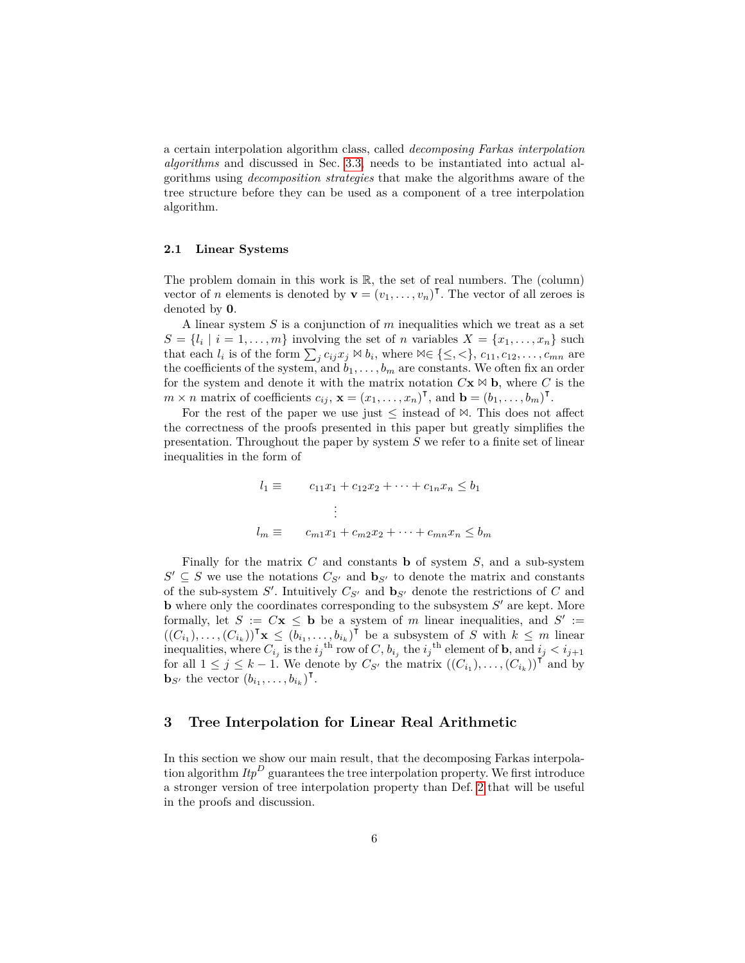a certain interpolation algorithm class, called *decomposing Farkas interpolation algorithms* and discussed in Sec. [3.3,](#page-10-0) needs to be instantiated into actual algorithms using *decomposition strategies* that make the algorithms aware of the tree structure before they can be used as a component of a tree interpolation algorithm.

#### **2.1 Linear Systems**

The problem domain in this work is R, the set of real numbers. The (column) vector of *n* elements is denoted by  $\mathbf{v} = (v_1, \dots, v_n)^\mathsf{T}$ . The vector of all zeroes is denoted by **0**.

A linear system *S* is a conjunction of *m* inequalities which we treat as a set  $S = \{l_i \mid i = 1, \ldots, m\}$  involving the set of *n* variables  $X = \{x_1, \ldots, x_n\}$  such that each  $l_i$  is of the form  $\sum_j c_{ij} x_j \bowtie b_i$ , where  $\bowtie \in \{\leq, <\}$ ,  $c_{11}, c_{12}, \ldots, c_{mn}$  are the coefficients of the system, and  $b_1, \ldots, b_m$  are constants. We often fix an order for the system and denote it with the matrix notation  $C$ **x**  $\bowtie$  **b**, where *C* is the  $m \times n$  matrix of coefficients  $c_{ij}$ ,  $\mathbf{x} = (x_1, \ldots, x_n)^\mathsf{T}$ , and  $\mathbf{b} = (b_1, \ldots, b_m)^\mathsf{T}$ .

For the rest of the paper we use just  $\leq$  instead of  $\bowtie$ . This does not affect the correctness of the proofs presented in this paper but greatly simplifies the presentation. Throughout the paper by system *S* we refer to a finite set of linear inequalities in the form of

$$
l_1 \equiv c_{11}x_1 + c_{12}x_2 + \dots + c_{1n}x_n \le b_1
$$

$$
\vdots
$$

$$
l_m \equiv c_{m1}x_1 + c_{m2}x_2 + \dots + c_{mn}x_n \le b_m
$$

Finally for the matrix *C* and constants **b** of system *S*, and a sub-system  $S' \subseteq S$  we use the notations  $C_{S'}$  and  $\mathbf{b}_{S'}$  to denote the matrix and constants of the sub-system  $S'$ . Intuitively  $C_{S'}$  and  $\mathbf{b}_{S'}$  denote the restrictions of  $C$  and **b** where only the coordinates corresponding to the subsystem  $S'$  are kept. More formally, let  $S := C\mathbf{x} \leq \mathbf{b}$  be a system of *m* linear inequalities, and  $S' :=$  $((C_{i_1}), \ldots, (C_{i_k}))^{\mathsf{T}} \mathbf{x} \leq (b_{i_1}, \ldots, b_{i_k})^{\mathsf{T}}$  be a subsystem of *S* with  $k \leq m$  linear inequalities, where  $C_{i_j}$  is the  $i_j$ <sup>th</sup> row of  $C$ ,  $b_{i_j}$  the  $i_j$ <sup>th</sup> element of **b**, and  $i_j < i_{j+1}$ for all  $1 \leq j \leq k-1$ . We denote by  $C_{S'}$  the matrix  $((C_{i_1}), \ldots, (C_{i_k}))^{\mathsf{T}}$  and by  $\mathbf{b}_{S'}$  the vector  $(b_{i_1}, \ldots, b_{i_k})^{\mathsf{T}}$ .

### <span id="page-5-0"></span>**3 Tree Interpolation for Linear Real Arithmetic**

<span id="page-5-1"></span>In this section we show our main result, that the decomposing Farkas interpolation algorithm  $Itp^D$  guarantees the tree interpolation property. We first introduce a stronger version of tree interpolation property than Def. [2](#page-3-1) that will be useful in the proofs and discussion.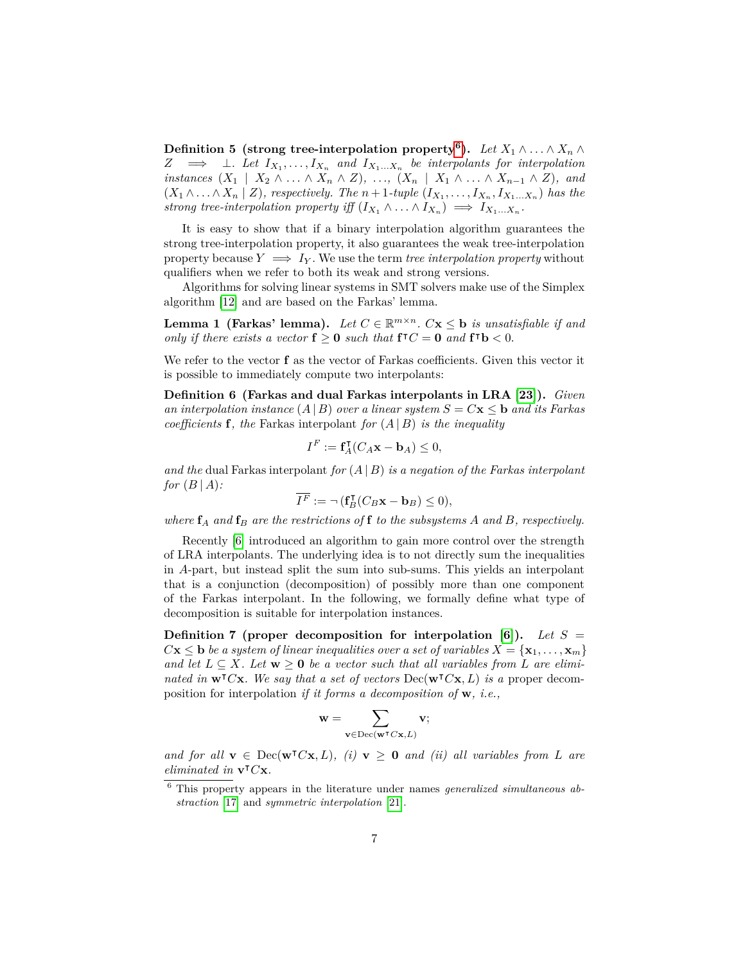$\textbf{Definition 5 (strong tree-interpolation property}^6)$  $\textbf{Definition 5 (strong tree-interpolation property}^6)$  $\textbf{Definition 5 (strong tree-interpolation property}^6)$ . *Let*  $X_1 \wedge \ldots \wedge X_n \wedge$  $Z \implies \perp$ *. Let*  $I_{X_1}, \ldots, I_{X_n}$  and  $I_{X_1 \ldots X_n}$  be interpolants for interpolation *instances*  $(X_1 | X_2 \wedge ... \wedge X_n \wedge Z)$ , ...,  $(X_n | X_1 \wedge ... \wedge X_{n-1} \wedge Z)$ , and  $(X_1 \wedge \ldots \wedge X_n \mid Z)$ , respectively. The  $n+1$ -tuple  $(I_{X_1}, \ldots, I_{X_n}, I_{X_1 \ldots X_n})$  has the *strong tree-interpolation property iff*  $(I_{X_1} \wedge \ldots \wedge I_{X_n}) \implies I_{X_1 \ldots X_n}$ .

It is easy to show that if a binary interpolation algorithm guarantees the strong tree-interpolation property, it also guarantees the weak tree-interpolation property because  $Y \implies I_Y$ . We use the term *tree interpolation property* without qualifiers when we refer to both its weak and strong versions.

Algorithms for solving linear systems in SMT solvers make use of the Simplex algorithm [\[12\]](#page-19-16) and are based on the Farkas' lemma.

**Lemma 1 (Farkas' lemma).** *Let*  $C \in \mathbb{R}^{m \times n}$ .  $C$ **x**  $\leq$  **b** *is unsatisfiable if and only if there exists a vector*  $f \ge 0$  *such that*  $f \circ f = 0$  *and*  $f \circ f = 0$ .

We refer to the vector **f** as the vector of Farkas coefficients. Given this vector it is possible to immediately compute two interpolants:

**Definition 6 (Farkas and dual Farkas interpolants in LRA [\[23\]](#page-19-4)).** *Given an interpolation instance*  $(A | B)$  *over a linear system*  $S = C$ **x**  $\lt$  **b** *and its Farkas coefficients* **f***, the* Farkas interpolant *for* (*A* | *B*) *is the inequality*

$$
I^F := \mathbf{f}_A^{\mathsf{T}}(C_A \mathbf{x} - \mathbf{b}_A) \leq 0,
$$

*and the* dual Farkas interpolant *for* (*A* | *B*) *is a negation of the Farkas interpolant for* (*B* | *A*)*:*

$$
\overline{I^F} := \neg \left( \mathbf{f}_B^\mathsf{T} (C_B \mathbf{x} - \mathbf{b}_B) \le 0 \right),
$$

*where* **f***<sup>A</sup> and* **f***<sup>B</sup> are the restrictions of* **f** *to the subsystems A and B, respectively.*

Recently [\[6\]](#page-18-1) introduced an algorithm to gain more control over the strength of LRA interpolants. The underlying idea is to not directly sum the inequalities in *A*-part, but instead split the sum into sub-sums. This yields an interpolant that is a conjunction (decomposition) of possibly more than one component of the Farkas interpolant. In the following, we formally define what type of decomposition is suitable for interpolation instances.

**Definition 7** (proper decomposition for interpolation [\[6\]](#page-18-1)). Let  $S =$  $C$ **x**  $\leq$  **b** *be a system of linear inequalities over a set of variables*  $X = \{x_1, \ldots, x_m\}$ *and let*  $L \subseteq X$ *. Let*  $w \ge 0$  *be a vector such that all variables from L are elimi*nated in  $\mathbf{w}^\intercal C\mathbf{x}$ *. We say that a set of vectors*  $\text{Dec}(\mathbf{w}^\intercal C\mathbf{x}, L)$  *is a* proper decomposition for interpolation *if it forms a decomposition of* **w***, i.e.,*

$$
\mathbf{w} = \sum_{\mathbf{v} \in \text{Dec}(\mathbf{w}^\intercal C\mathbf{x}, L)} \mathbf{v};
$$

*and for all*  $\mathbf{v} \in \text{Dec}(\mathbf{w}^\intercal C\mathbf{x}, L)$ , (i)  $\mathbf{v} \geq 0$  *and (ii) all variables from L are eliminated in*  $\mathbf{v}^\intercal C \mathbf{x}$ *.* 

<span id="page-6-0"></span><sup>6</sup> This property appears in the literature under names *generalized simultaneous abstraction* [\[17\]](#page-19-11) and *symmetric interpolation* [\[21\]](#page-19-17).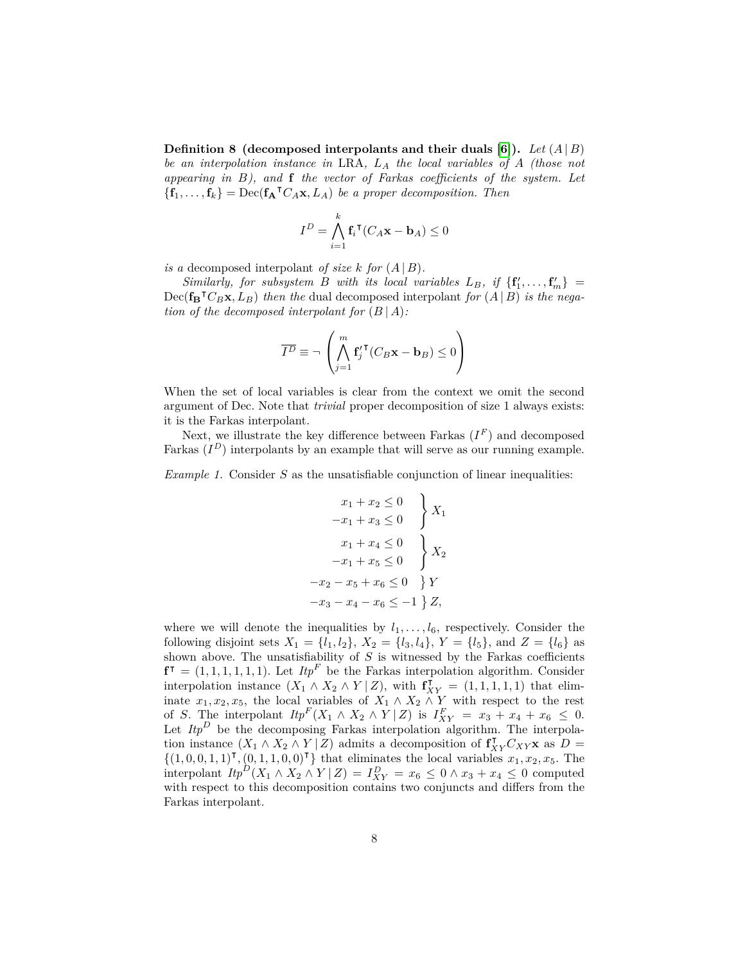**Definition 8 (decomposed interpolants and their duals [\[6\]](#page-18-1)).** *Let* (*A* | *B*) *be an interpolation instance in* LRA*, L<sup>A</sup> the local variables of A (those not appearing in B), and* **f** *the vector of Farkas coefficients of the system. Let*  ${\bf f}_1, \ldots, {\bf f}_k$  = Dec( ${\bf f}_A$ <sup>T</sup> $C_A$ **x**,  $L_A$ ) *be a proper decomposition. Then* 

$$
I^D = \bigwedge_{i=1}^k \mathbf{f}_i{}^{\intercal}(C_A \mathbf{x} - \mathbf{b}_A) \leq 0
$$

*is a* decomposed interpolant *of size*  $k$  *for*  $(A | B)$ *.* 

*Similarly, for subsystem B with its local variables*  $L_B$ *, if*  $\{f'_1, \ldots, f'_m\}$  =  $Dec(\mathbf{f_B}^\mathsf{T} C_B \mathbf{x}, L_B)$  *then the* dual decomposed interpolant *for*  $(A | B)$  *is the negation of the decomposed interpolant for*  $(B | A)$ :

$$
\overline{I^D} \equiv -\left(\bigwedge_{j=1}^m \mathbf{f}'_j{}^{\mathsf{T}}(C_B \mathbf{x} - \mathbf{b}_B) \le 0\right)
$$

When the set of local variables is clear from the context we omit the second argument of Dec. Note that *trivial* proper decomposition of size 1 always exists: it is the Farkas interpolant.

Next, we illustrate the key difference between Farkas  $(I^F)$  and decomposed Farkas  $(I^D)$  interpolants by an example that will serve as our running example.

<span id="page-7-0"></span>*Example 1.* Consider *S* as the unsatisfiable conjunction of linear inequalities:

$$
\begin{aligned}\nx_1 + x_2 &\le 0 \\
-x_1 + x_3 &\le 0\n\end{aligned}\n\begin{aligned}\nX_1 \\
X_2 \\
\hline\n-x_1 + x_3 &\le 0\n\end{aligned}\n\begin{aligned}\nX_1 \\
X_2 \\
\hline\n-x_2 - x_5 + x_6 &\le 0\n\end{aligned}\n\begin{aligned}\nX_2 \\
X_3 \\
\hline\n\end{aligned}
$$

where we will denote the inequalities by  $l_1, \ldots, l_6$ , respectively. Consider the following disjoint sets  $X_1 = \{l_1, l_2\}$ ,  $X_2 = \{l_3, l_4\}$ ,  $Y = \{l_5\}$ , and  $Z = \{l_6\}$  as shown above. The unsatisfiability of *S* is witnessed by the Farkas coefficients  $f^{\dagger} = (1, 1, 1, 1, 1, 1)$ . Let  $Itp^F$  be the Farkas interpolation algorithm. Consider interpolation instance  $(X_1 \wedge X_2 \wedge Y | Z)$ , with  $\mathbf{f}_{XY}^{\mathsf{T}} = (1,1,1,1,1)$  that eliminate  $x_1, x_2, x_5$ , the local variables of  $X_1 \wedge X_2 \wedge Y$  with respect to the rest of *S*. The interpolant  $Itp^F(X_1 \wedge X_2 \wedge Y | Z)$  is  $I_{XY}^F = x_3 + x_4 + x_6 \leq 0$ . Let  $Itp^D$  be the decomposing Farkas interpolation algorithm. The interpolation instance  $(X_1 \wedge X_2 \wedge Y | Z)$  admits a decomposition of  $f_{XY}^{\mathsf{T}} C_{XY} \mathbf{x}$  as  $D =$  $\{(1, 0, 0, 1, 1)^\mathsf{T}, (0, 1, 1, 0, 0)^\mathsf{T}\}\$ that eliminates the local variables  $x_1, x_2, x_5$ . The interpolant  $Itp^D(X_1 \wedge X_2 \wedge Y | Z) = I_{XY}^D = x_6 \leq 0 \wedge x_3 + x_4 \leq 0$  computed with respect to this decomposition contains two conjuncts and differs from the Farkas interpolant.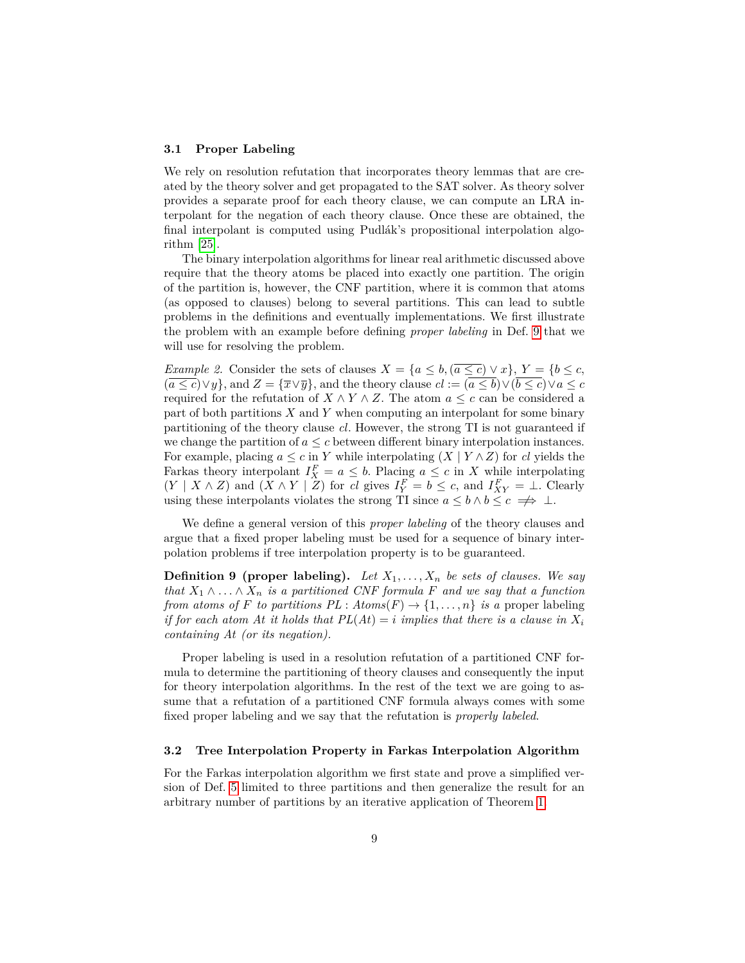#### **3.1 Proper Labeling**

We rely on resolution refutation that incorporates theory lemmas that are created by the theory solver and get propagated to the SAT solver. As theory solver provides a separate proof for each theory clause, we can compute an LRA interpolant for the negation of each theory clause. Once these are obtained, the final interpolant is computed using Pudlák's propositional interpolation algorithm [\[25\]](#page-19-6).

The binary interpolation algorithms for linear real arithmetic discussed above require that the theory atoms be placed into exactly one partition. The origin of the partition is, however, the CNF partition, where it is common that atoms (as opposed to clauses) belong to several partitions. This can lead to subtle problems in the definitions and eventually implementations. We first illustrate the problem with an example before defining *proper labeling* in Def. [9](#page-8-1) that we will use for resolving the problem.

*Example 2.* Consider the sets of clauses  $X = \{a \le b, (\overline{a \le c}) \vee x\}, Y = \{b \le c,$  $(\overline{a \leq c}) \vee y$ , and  $Z = {\overline{x} \vee \overline{y}}$ , and the theory clause  $cl := (\overline{a \leq b}) \vee (\overline{b \leq c}) \vee a \leq c$ required for the refutation of  $X \wedge Y \wedge Z$ . The atom  $a \leq c$  can be considered a part of both partitions *X* and *Y* when computing an interpolant for some binary partitioning of the theory clause *cl*. However, the strong TI is not guaranteed if we change the partition of  $a \leq c$  between different binary interpolation instances. For example, placing  $a \leq c$  in *Y* while interpolating  $(X | Y \wedge Z)$  for *cl* yields the Farkas theory interpolant  $I_X^F = a \leq b$ . Placing  $a \leq c$  in X while interpolating  $(Y | X \wedge Z)$  and  $(X \wedge Y | Z)$  for *cl* gives  $I_Y^F = b \le c$ , and  $I_{XY}^F = \bot$ . Clearly using these interpolants violates the strong TI since  $a \leq b \wedge b \leq c \implies \bot$ .

We define a general version of this *proper labeling* of the theory clauses and argue that a fixed proper labeling must be used for a sequence of binary interpolation problems if tree interpolation property is to be guaranteed.

<span id="page-8-1"></span>**Definition 9** (proper labeling). Let  $X_1, \ldots, X_n$  be sets of clauses. We say *that*  $X_1 \wedge \ldots \wedge X_n$  *is a partitioned CNF formula F and we say that a function from atoms of F to partitions*  $PL: Atoms(F) \rightarrow \{1, \ldots, n\}$  *is a* proper labeling *if for each atom At it holds that*  $PL(At) = i$  *implies that there is a clause in*  $X_i$ *containing At (or its negation).*

Proper labeling is used in a resolution refutation of a partitioned CNF formula to determine the partitioning of theory clauses and consequently the input for theory interpolation algorithms. In the rest of the text we are going to assume that a refutation of a partitioned CNF formula always comes with some fixed proper labeling and we say that the refutation is *properly labeled*.

#### **3.2 Tree Interpolation Property in Farkas Interpolation Algorithm**

<span id="page-8-0"></span>For the Farkas interpolation algorithm we first state and prove a simplified version of Def. [5](#page-5-1) limited to three partitions and then generalize the result for an arbitrary number of partitions by an iterative application of Theorem [1.](#page-8-0)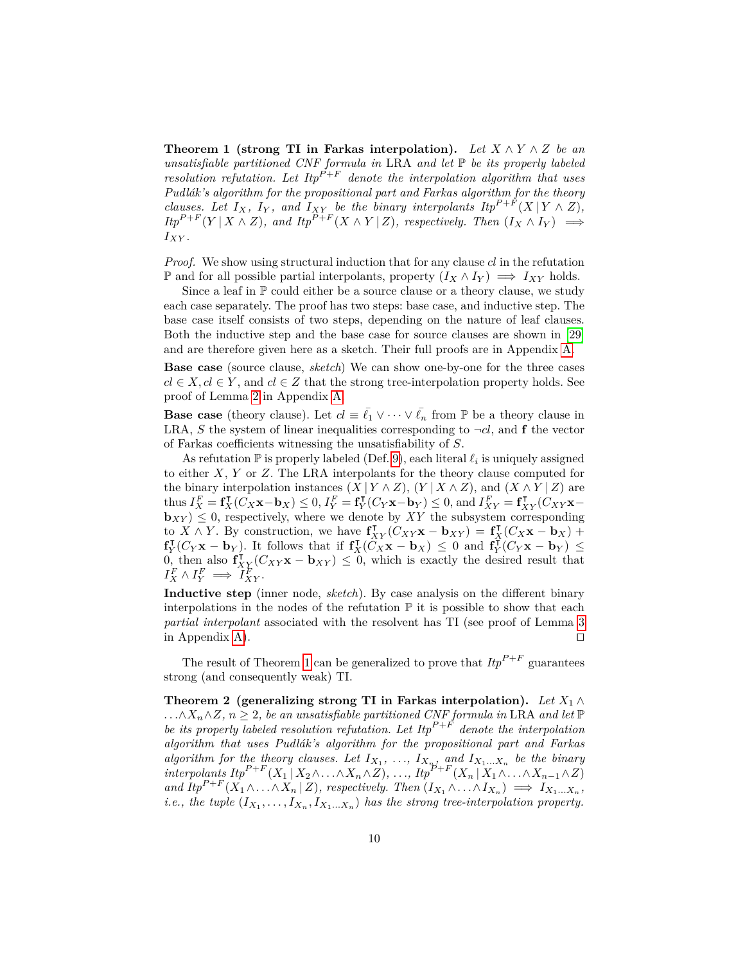**Theorem 1 (strong TI in Farkas interpolation).** *Let*  $X \wedge Y \wedge Z$  *be an unsatisfiable partitioned CNF formula in* LRA *and let* P *be its properly labeled resolution refutation. Let*  $Itp^{P+F}$  *denote the interpolation algorithm that uses Pudl´ak's algorithm for the propositional part and Farkas algorithm for the theory clauses. Let*  $I_X$ *,*  $I_Y$ *, and*  $I_{XY}$  *be the binary interpolants Itp*<sup>*P*+*F*</sup>(*X* | *Y*  $\wedge$  *Z*)*,*  $Itp^{P+F}(Y | X \wedge Z)$ , and  $Itp^{P+F}(X \wedge Y | Z)$ , respectively. Then  $(I_X \wedge I_Y) \implies$ *IXY .*

*Proof.* We show using structural induction that for any clause *cl* in the refutation *P* and for all possible partial interpolants, property ( $I_X \wedge I_Y$ ) ⇒  $I_{XY}$  holds.

Since a leaf in  $\mathbb P$  could either be a source clause or a theory clause, we study each case separately. The proof has two steps: base case, and inductive step. The base case itself consists of two steps, depending on the nature of leaf clauses. Both the inductive step and the base case for source clauses are shown in [\[29\]](#page-19-13) and are therefore given here as a sketch. Their full proofs are in Appendix [A.](#page-19-15)

**Base case** (source clause, *sketch*) We can show one-by-one for the three cases  $cl \in X, cl \in Y$ , and  $cl \in Z$  that the strong tree-interpolation property holds. See proof of Lemma [2](#page-20-0) in Appendix [A.](#page-19-15)

**Base case** (theory clause). Let  $cl \equiv \bar{\ell_1} \vee \cdots \vee \bar{\ell_n}$  from  $\mathbb P$  be a theory clause in LRA, S the system of linear inequalities corresponding to  $\neg cl$ , and **f** the vector of Farkas coefficients witnessing the unsatisfiability of *S*.

As refutation  $\mathbb P$  is properly labeled (Def. [9\)](#page-8-1), each literal  $\ell_i$  is uniquely assigned to either *X*, *Y* or *Z*. The LRA interpolants for the theory clause computed for the binary interpolation instances  $(X | Y \wedge Z)$ ,  $(Y | X \wedge Z)$ , and  $(X \wedge Y | Z)$  are thus  $I_X^F = \mathbf{f}_X^{\mathsf{T}}(C_X \mathbf{x} - \mathbf{b}_X) \leq 0$ ,  $I_Y^F = \mathbf{f}_Y^{\mathsf{T}}(C_Y \mathbf{x} - \mathbf{b}_Y) \leq 0$ , and  $I_{XY}^F = \mathbf{f}_{XY}^{\mathsf{T}}(C_{XY} \mathbf{x} - \mathbf{b}_Y)$  $\leq$  **0, respectively, where we denote by XY the subsystem corresponding** to *X*  $\wedge$  *Y*. By construction, we have  $\mathbf{f}_{XY}^{\mathsf{T}}(C_{XY}\mathbf{x} - \mathbf{b}_{XY}) = \mathbf{f}_{X}^{\mathsf{T}}(C_{X}\mathbf{x} - \mathbf{b}_{X}) +$  $f_Y^{\mathsf{T}}(C_Y\mathbf{x}-\mathbf{b}_Y)$ . It follows that if  $f_X^{\mathsf{T}}(\widetilde{C}_X\mathbf{x}-\mathbf{b}_X)\leq 0$  and  $f_Y^{\mathsf{T}}(C_Y\mathbf{x}-\mathbf{b}_Y)\leq$  $\mathbf{0}$ , then also  $\mathbf{f}_{XY}^{\mathsf{T}}(C_{XY}\mathbf{x} - \mathbf{b}_{XY}) \leq 0$ , which is exactly the desired result that  $I_X^F \wedge I_Y^F \implies I_{XY}^F$ .

**Inductive step** (inner node, *sketch*). By case analysis on the different binary interpolations in the nodes of the refutation  $\mathbb P$  it is possible to show that each *partial interpolant* associated with the resolvent has TI (see proof of Lemma [3](#page-20-1) in Appendix [A\)](#page-19-15).  $\Box$ 

<span id="page-9-0"></span>The result of Theorem [1](#page-8-0) can be generalized to prove that  $Itp^{P+F}$  guarantees strong (and consequently weak) TI.

**Theorem 2** (generalizing strong TI in Farkas interpolation). Let  $X_1 \wedge$ *. . .*∧*Xn*∧*Z, n* ≥ 2*, be an unsatisfiable partitioned CNF formula in* LRA *and let* P *be its properly labeled resolution refutation. Let*  $Itp^{P+\vec{F}}$  *denote the interpolation algorithm that uses Pudl´ak's algorithm for the propositional part and Farkas algorithm for the theory clauses. Let*  $I_{X_1}, \ldots, I_{X_n}$  *and*  $I_{X_1 \ldots X_n}$  *be the binary* interpolants  $Itp^{P+F}(X_1 | X_2 \wedge \ldots \wedge X_n \wedge Z), \ldots, Itp^{P+F}(X_n | X_1 \wedge \ldots \wedge X_{n-1} \wedge Z)$ *and*  $Itp^{P+F}(X_1 \wedge \ldots \wedge X_n | Z)$ *, respectively. Then*  $(I_{X_1} \wedge \ldots \wedge I_{X_n}) \implies I_{X_1 \ldots X_n}$ *, i.e., the tuple*  $(I_{X_1}, \ldots, I_{X_n}, I_{X_1 \ldots X_n})$  has the strong tree-interpolation property.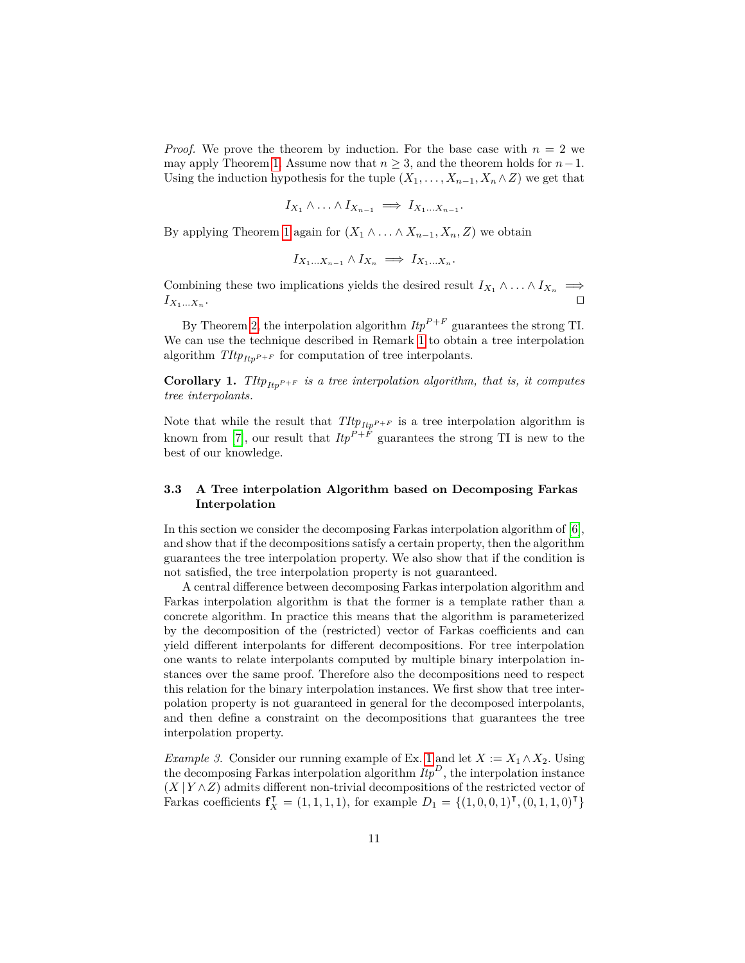*Proof.* We prove the theorem by induction. For the base case with  $n = 2$  we may apply Theorem [1.](#page-8-0) Assume now that  $n \geq 3$ , and the theorem holds for  $n-1$ . Using the induction hypothesis for the tuple  $(X_1, \ldots, X_{n-1}, X_n \wedge Z)$  we get that

$$
I_{X_1} \wedge \ldots \wedge I_{X_{n-1}} \implies I_{X_1 \ldots X_{n-1}}.
$$

By applying Theorem [1](#page-8-0) again for  $(X_1 \wedge \ldots \wedge X_{n-1}, X_n, Z)$  we obtain

$$
I_{X_1...X_{n-1}} \wedge I_{X_n} \implies I_{X_1...X_n}.
$$

Combining these two implications yields the desired result  $I_{X_1} \wedge \ldots \wedge I_{X_n} \implies$ *IX*1*...X<sup>n</sup>* . The contract of the contract of the contract of the contract of  $\Box$ 

By Theorem [2,](#page-9-0) the interpolation algorithm  $Itp^{P+F}$  guarantees the strong TI. We can use the technique described in Remark [1](#page-4-0) to obtain a tree interpolation algorithm  $T I t p_{I t p^{P+F}}$  for computation of tree interpolants.

**Corollary 1.** *TItp*<sub>*Itp*</sub><sup>*P*+*F*</sup> *is a tree interpolation algorithm, that is, it computes tree interpolants.*

Note that while the result that  $Tltp_{Itp^{P+F}}$  is a tree interpolation algorithm is known from [\[7\]](#page-18-2), our result that  $Itp^{P+F}$  guarantees the strong TI is new to the best of our knowledge.

### <span id="page-10-0"></span>**3.3 A Tree interpolation Algorithm based on Decomposing Farkas Interpolation**

In this section we consider the decomposing Farkas interpolation algorithm of [\[6\]](#page-18-1), and show that if the decompositions satisfy a certain property, then the algorithm guarantees the tree interpolation property. We also show that if the condition is not satisfied, the tree interpolation property is not guaranteed.

A central difference between decomposing Farkas interpolation algorithm and Farkas interpolation algorithm is that the former is a template rather than a concrete algorithm. In practice this means that the algorithm is parameterized by the decomposition of the (restricted) vector of Farkas coefficients and can yield different interpolants for different decompositions. For tree interpolation one wants to relate interpolants computed by multiple binary interpolation instances over the same proof. Therefore also the decompositions need to respect this relation for the binary interpolation instances. We first show that tree interpolation property is not guaranteed in general for the decomposed interpolants, and then define a constraint on the decompositions that guarantees the tree interpolation property.

<span id="page-10-1"></span>*Example 3.* Consider our running example of Ex. [1](#page-7-0) and let  $X := X_1 \wedge X_2$ . Using the decomposing Farkas interpolation algorithm  $Itp^D$ , the interpolation instance (*X* | *Y* ∧*Z*) admits different non-trivial decompositions of the restricted vector of Farkas coefficients  $f_X^T = (1, 1, 1, 1)$ , for example  $D_1 = \{(1, 0, 0, 1)^\mathsf{T}, (0, 1, 1, 0)^\mathsf{T}\}\$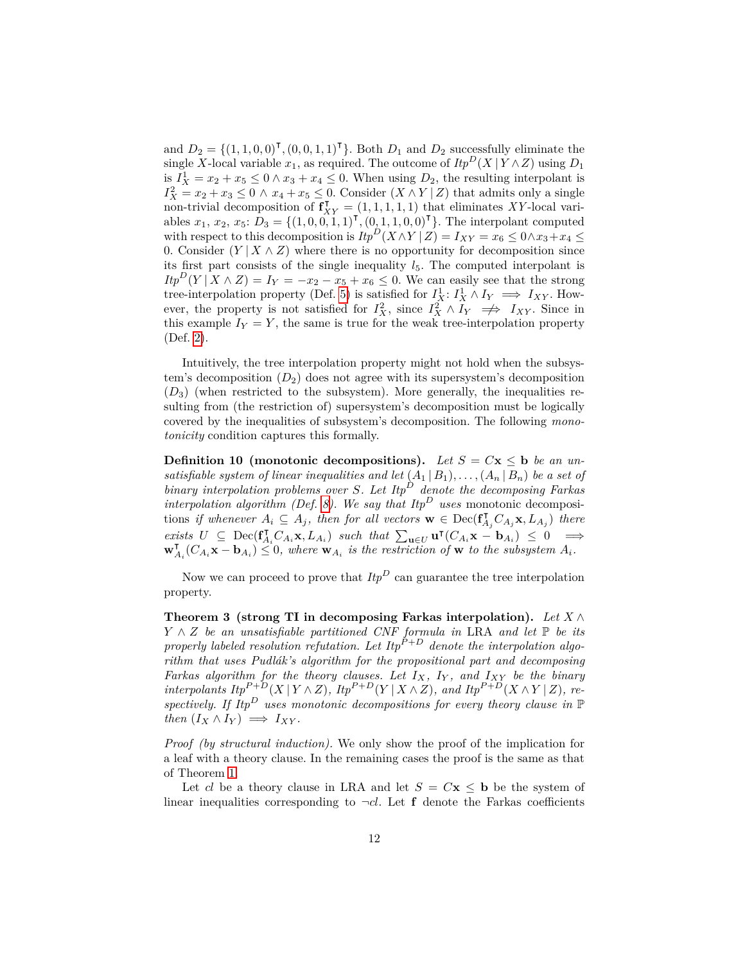and  $D_2 = \{(1,1,0,0)^\mathsf{T}, (0,0,1,1)^\mathsf{T}\}\$ . Both  $D_1$  and  $D_2$  successfully eliminate the single *X*-local variable  $x_1$ , as required. The outcome of  $Itp^D(X | Y \wedge Z)$  using  $D_1$ is  $I_X^1 = x_2 + x_5 \leq 0 \land x_3 + x_4 \leq 0$ . When using  $D_2$ , the resulting interpolant is  $I_X^2 = x_2 + x_3 \leq 0 \land x_4 + x_5 \leq 0$ . Consider  $(X \land Y | Z)$  that admits only a single non-trivial decomposition of  $f_{XY}^{\mathsf{T}} = (1,1,1,1,1)$  that eliminates XY-local variables  $x_1, x_2, x_5: D_3 = \{(1, 0, 0, 1, 1)^{\mathsf{T}}, (0, 1, 1, 0, 0)^{\mathsf{T}}\}$ . The interpolant computed with respect to this decomposition is  $Itp^D(X \wedge Y | Z) = I_{XY} = x_6 \leq 0 \wedge x_3 + x_4 \leq$ 0. Consider  $(Y | X \wedge Z)$  where there is no opportunity for decomposition since its first part consists of the single inequality  $l_5$ . The computed interpolant is  $Itp^{D}(Y | X \wedge Z) = I_Y = -x_2 - x_5 + x_6 \leq 0$ . We can easily see that the strong tree-interpolation property (Def. [5\)](#page-5-1) is satisfied for  $I_X^1: I_X^1 \wedge I_Y \implies I_{XY}$ . However, the property is not satisfied for  $I_X^2$ , since  $I_X^2 \wedge I_Y \implies I_{XY}$ . Since in this example  $I_Y = Y$ , the same is true for the weak tree-interpolation property (Def. [2\)](#page-3-1).

Intuitively, the tree interpolation property might not hold when the subsystem's decomposition  $(D_2)$  does not agree with its supersystem's decomposition  $(D_3)$  (when restricted to the subsystem). More generally, the inequalities resulting from (the restriction of) supersystem's decomposition must be logically covered by the inequalities of subsystem's decomposition. The following *monotonicity* condition captures this formally.

<span id="page-11-1"></span>**Definition 10** (monotonic decompositions). Let  $S = Cx \leq b$  be an un*satisfiable system of linear inequalities and let*  $(A_1 | B_1), \ldots, (A_n | B_n)$  *be a set of binary interpolation problems over S. Let Itp<sup>D</sup> denote the decomposing Farkas*  $interpolation algorithm (Def. 8)$  $interpolation algorithm (Def. 8)$ *. We say that Itp<sup>D</sup> uses* monotonic decomposi $i$  *if whenever*  $A_i \subseteq A_j$ *, then for all vectors*  $\mathbf{w} \in \text{Dec}(\mathbf{f}_{A_j}^{\mathsf{T}} C_{A_j} \mathbf{x}, L_{A_j})$  there exists  $U \subseteq \text{Dec}(\mathbf{f}_{A_i}^{\mathsf{T}} C_{A_i} \mathbf{x}, L_{A_i})$  such that  $\sum_{\mathbf{u} \in U} \mathbf{u}^{\mathsf{T}} (C_{A_i} \mathbf{x} - \mathbf{b}_{A_i}) \leq 0 \implies$  $\mathbf{w}_{A_i}^{\mathsf{T}}(C_{A_i}\mathbf{x}-\mathbf{b}_{A_i}) \leq 0$ , where  $\mathbf{w}_{A_i}$  is the restriction of **w** to the subsystem  $A_i$ .

Now we can proceed to prove that  $Itp^D$  can guarantee the tree interpolation property.

<span id="page-11-0"></span>**Theorem 3 (strong TI in decomposing Farkas interpolation).** Let  $X \wedge Y$ *Y* ∧ *Z be an unsatisfiable partitioned CNF formula in* LRA *and let* P *be its properly labeled resolution refutation. Let*  $Itp^{P+D}$  *denote the interpolation algorithm that uses Pudlák's algorithm for the propositional part and decomposing Farkas algorithm for the theory clauses. Let IX, I<sup>Y</sup> , and IXY be the binary interpolants Itp*<sup> $P+D$ </sup>( $X | Y \wedge Z$ ), *Itp*<sup> $P+D$ </sup>( $Y | X \wedge Z$ ), and *Itp*<sup> $P+D$ </sup>( $X \wedge Y | Z$ ), re*spectively. If Itp<sup>D</sup> uses monotonic decompositions for every theory clause in* P *then*  $(I_X \wedge I_Y) \implies I_{XY}$ .

*Proof (by structural induction).* We only show the proof of the implication for a leaf with a theory clause. In the remaining cases the proof is the same as that of Theorem [1.](#page-8-0)

Let *cl* be a theory clause in LRA and let  $S = Cx \leq b$  be the system of linear inequalities corresponding to  $\neg cl$ . Let **f** denote the Farkas coefficients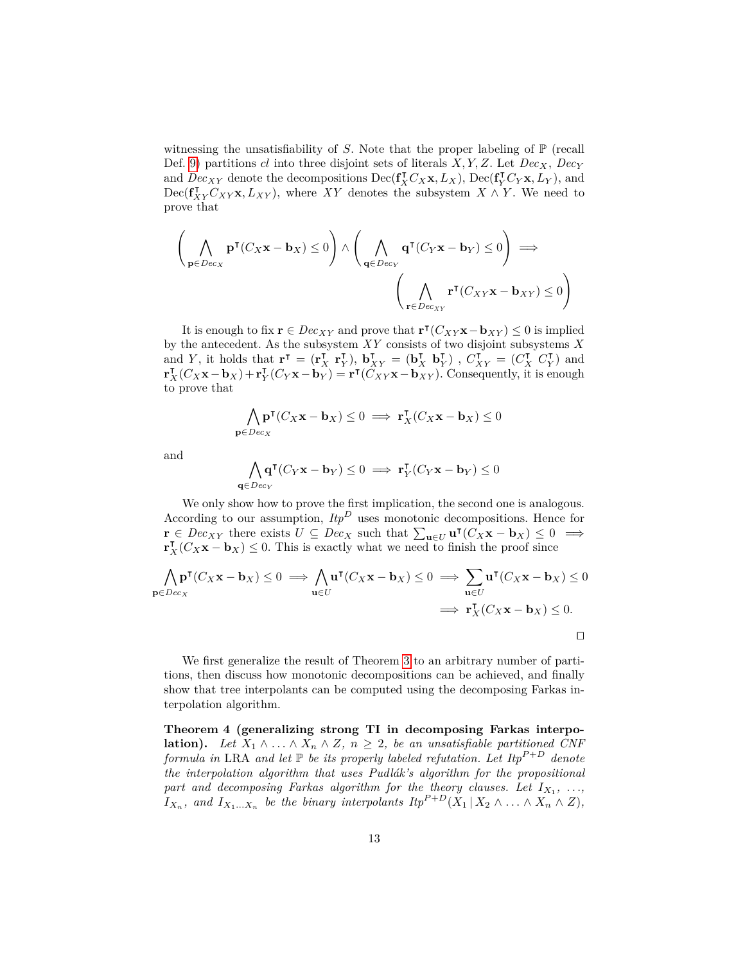witnessing the unsatisfiability of *S*. Note that the proper labeling of  $\mathbb{P}$  (recall Def. [9\)](#page-8-1) partitions *cl* into three disjoint sets of literals *X, Y, Z*. Let *DecX*, *Dec<sup>Y</sup>* and  $Dec_{XY}$  denote the decompositions  $Dec(f_X^{\mathsf{T}} C_X \mathbf{x}, L_X)$ ,  $Dec(f_Y^{\mathsf{T}} C_Y \mathbf{x}, L_Y)$ , and Dec( $f_{XY}^{\mathsf{T}}C_{XY}\mathbf{x}, L_{XY}$ ), where XY denotes the subsystem  $X \wedge Y$ . We need to prove that

$$
\left(\bigwedge_{\mathbf{p}\in Dec_X} \mathbf{p}^\mathsf{T}(C_X\mathbf{x}-\mathbf{b}_X)\leq 0\right)\wedge\left(\bigwedge_{\mathbf{q}\in Dec_Y} \mathbf{q}^\mathsf{T}(C_Y\mathbf{x}-\mathbf{b}_Y)\leq 0\right)\implies \left(\bigwedge_{\mathbf{r}\in Dec_{XY}} \mathbf{r}^\mathsf{T}(C_{XY}\mathbf{x}-\mathbf{b}_{XY})\leq 0\right)
$$

It is enough to fix  $\mathbf{r} \in Dec_{XY}$  and prove that  $\mathbf{r}^\intercal(C_{XY}\mathbf{x}-\mathbf{b}_{XY}) \leq 0$  is implied by the antecedent. As the subsystem *XY* consists of two disjoint subsystems *X* and *Y*, it holds that  $\mathbf{r}^{\intercal} = (\mathbf{r}_{X}^{\intercal} \ \mathbf{r}_{Y}^{\intercal}), \ \mathbf{b}_{XY}^{\intercal} = (\mathbf{b}_{X}^{\intercal} \ \mathbf{b}_{Y}^{\intercal})$ ,  $C_{XY}^{\intercal} = (C_{X}^{\intercal} \ C_{Y}^{\intercal})$  and  $\mathbf{r}_X^{\mathsf{T}}(C_X\mathbf{x}-\mathbf{b}_X)+\mathbf{r}_Y^{\mathsf{T}}(C_Y\mathbf{x}-\mathbf{b}_Y)=\mathbf{r}^{\mathsf{T}}(C_X\mathbf{y}\mathbf{x}-\mathbf{b}_X\mathbf{y})$ . Consequently, it is enough to prove that

$$
\bigwedge_{\mathbf{p}\in Dec_X} \mathbf{p}^\mathsf{T}(C_X\mathbf{x}-\mathbf{b}_X) \le 0 \implies \mathbf{r}_X^\mathsf{T}(C_X\mathbf{x}-\mathbf{b}_X) \le 0
$$

and

$$
\bigwedge_{\mathbf{q}\in Dec_Y} \mathbf{q}^\mathsf{T}(C_Y\mathbf{x}-\mathbf{b}_Y) \le 0 \implies \mathbf{r}_Y^\mathsf{T}(C_Y\mathbf{x}-\mathbf{b}_Y) \le 0
$$

We only show how to prove the first implication, the second one is analogous. According to our assumption,  $Itp^D$  uses monotonic decompositions. Hence for **r** ∈ *Dec<sub>XY</sub>* there exists  $U \subseteq Dec_X$  such that  $\sum_{\mathbf{u} \in U} \mathbf{u}^\intercal (C_X \mathbf{x} - \mathbf{b}_X) \leq 0 \implies$ **r**<sup>T</sup><sub>*X*</sub>(*C<sub>X</sub>***x** − **b**<sub>*X*</sub>) ≤ 0. This is exactly what we need to finish the proof since

$$
\bigwedge_{\mathbf{p}\in Dec_X} \mathbf{p}^\mathsf{T}(C_X \mathbf{x} - \mathbf{b}_X) \le 0 \implies \bigwedge_{\mathbf{u}\in U} \mathbf{u}^\mathsf{T}(C_X \mathbf{x} - \mathbf{b}_X) \le 0 \implies \sum_{\mathbf{u}\in U} \mathbf{u}^\mathsf{T}(C_X \mathbf{x} - \mathbf{b}_X) \le 0
$$
\n
$$
\implies \mathbf{r}_X^\mathsf{T}(C_X \mathbf{x} - \mathbf{b}_X) \le 0.
$$

We first generalize the result of Theorem [3](#page-11-0) to an arbitrary number of partitions, then discuss how monotonic decompositions can be achieved, and finally show that tree interpolants can be computed using the decomposing Farkas interpolation algorithm.

 $\Box$ 

<span id="page-12-0"></span>**Theorem 4 (generalizing strong TI in decomposing Farkas interpolation).** Let  $X_1 \wedge \ldots \wedge X_n \wedge Z$ ,  $n \geq 2$ , be an unsatisfiable partitioned CNF *formula in* LRA *and let*  $\mathbb{P}$  *be its properly labeled refutation. Let*  $Itp^{P+D}$  *denote the interpolation algorithm that uses Pudl´ak's algorithm for the propositional* part and decomposing Farkas algorithm for the theory clauses. Let  $I_{X_1}, \ldots,$ *I*<sub>*X<sub>n</sub></sub>, and <i>I*<sub>*X*1</sub>...*X<sub>n</sub>*</sub> *be the binary interpolants*  $Itp^{P+D}(X_1 | X_2 \wedge \ldots \wedge X_n \wedge Z)$ *,</sub>*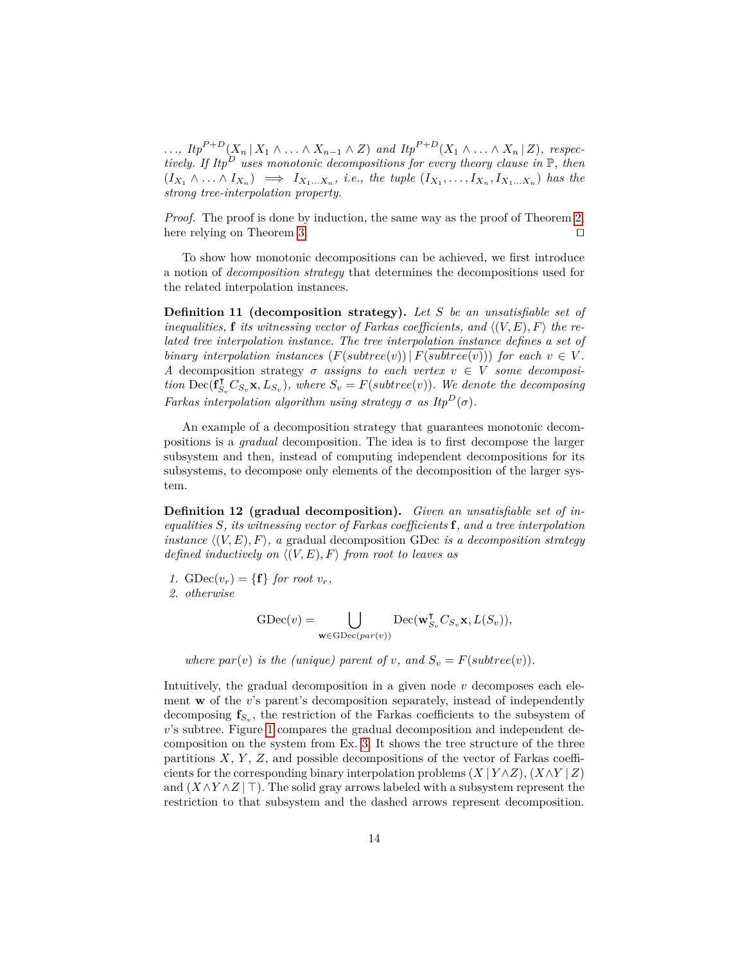*...,*  $Itp^{P+D}(X_n | X_1 \land ... \land X_{n-1} \land Z)$  and  $Itp^{P+D}(X_1 \land ... \land X_n | Z)$ , respec*tively. If Itp<sup>D</sup> uses monotonic decompositions for every theory clause in* P*, then*  $(I_{X_1} \wedge \ldots \wedge I_{X_n}) \implies I_{X_1 \ldots X_n}$ , i.e., the tuple  $(I_{X_1}, \ldots, I_{X_n}, I_{X_1 \ldots X_n})$  has the *strong tree-interpolation property.*

*Proof.* The proof is done by induction, the same way as the proof of Theorem [2,](#page-9-0) here relying on Theorem [3.](#page-11-0)  $\Box$ 

To show how monotonic decompositions can be achieved, we first introduce a notion of *decomposition strategy* that determines the decompositions used for the related interpolation instances.

**Definition 11 (decomposition strategy).** *Let S be an unsatisfiable set of inequalities,* **f** *its witnessing vector of Farkas coefficients, and*  $\langle (V, E), F \rangle$  *the related tree interpolation instance. The tree interpolation instance defines a set of binary interpolation instances*  $(F(subtree(v)) | F(subtree(v)))$  *for each*  $v \in V$ . *A* decomposition strategy  $\sigma$  *assigns to each vertex*  $v \in V$  *some decomposition*  $\text{Dec}(\mathbf{f}_{S_v}^{\mathsf{T}} C_{S_v} \mathbf{x}, L_{S_v})$ , where  $S_v = F(subtree(v))$ . We denote the decomposing *Farkas interpolation algorithm using strategy*  $\sigma$  *as Itp*<sup>*D*</sup>( $\sigma$ )*.* 

An example of a decomposition strategy that guarantees monotonic decompositions is a *gradual* decomposition. The idea is to first decompose the larger subsystem and then, instead of computing independent decompositions for its subsystems, to decompose only elements of the decomposition of the larger system.

**Definition 12 (gradual decomposition).** *Given an unsatisfiable set of inequalities S, its witnessing vector of Farkas coefficients* **f***, and a tree interpolation instance*  $\langle (V, E), F \rangle$ , a gradual decomposition GDec *is a decomposition strategy defined inductively on*  $\langle (V, E), F \rangle$  *from root to leaves as* 

1. GDec( $v_r$ ) = {**f**} *for root*  $v_r$ *, 2. otherwise*

$$
\text{GDec}(v) = \bigcup_{\mathbf{w} \in \text{GDec}(par(v))} \text{Dec}(\mathbf{w}_{S_v}^{\mathsf{T}} C_{S_v} \mathbf{x}, L(S_v)),
$$

*where*  $par(v)$  *is the (unique)* parent of *v*, and  $S_v = F(subtree(v))$ *.* 

Intuitively, the gradual decomposition in a given node *v* decomposes each element **w** of the *v*'s parent's decomposition separately, instead of independently decomposing  $\mathbf{f}_{S_v}$ , the restriction of the Farkas coefficients to the subsystem of *v*'s subtree. Figure [1](#page-14-1) compares the gradual decomposition and independent decomposition on the system from Ex. [3.](#page-10-1) It shows the tree structure of the three partitions  $X, Y, Z$ , and possible decompositions of the vector of Farkas coefficients for the corresponding binary interpolation problems  $(X | Y \wedge Z)$ ,  $(X \wedge Y | Z)$ and  $(X \wedge Y \wedge Z | \top)$ . The solid gray arrows labeled with a subsystem represent the restriction to that subsystem and the dashed arrows represent decomposition.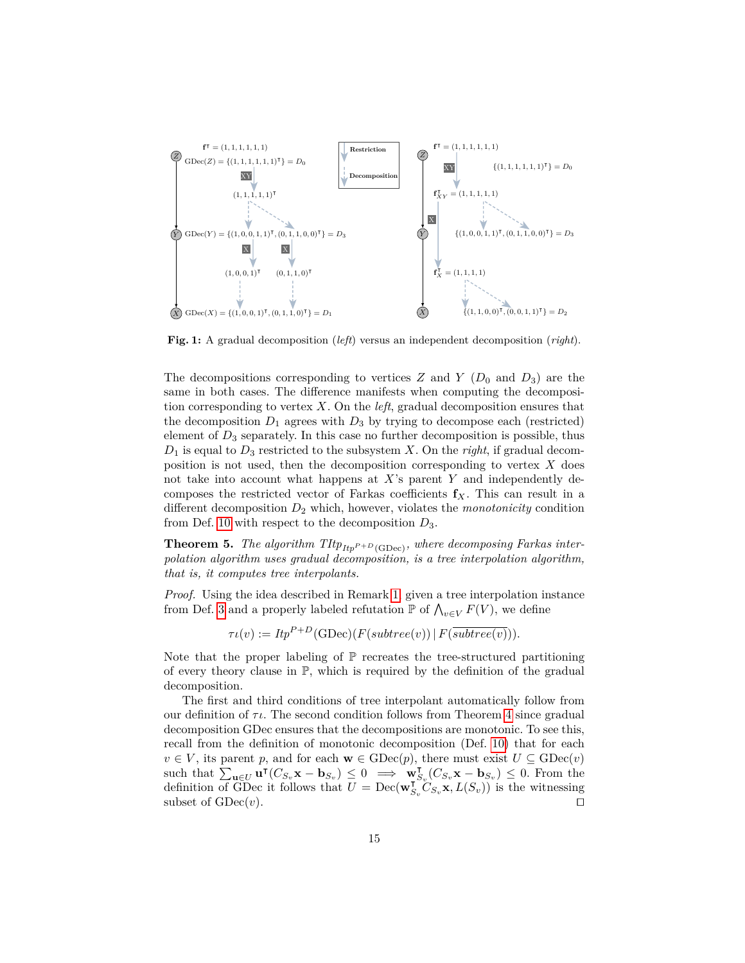<span id="page-14-1"></span>

**Fig. 1:** A gradual decomposition (*left*) versus an independent decomposition (*right*).

The decompositions corresponding to vertices *Z* and *Y* ( $D_0$  and  $D_3$ ) are the same in both cases. The difference manifests when computing the decomposition corresponding to vertex *X*. On the *left*, gradual decomposition ensures that the decomposition  $D_1$  agrees with  $D_3$  by trying to decompose each (restricted) element of  $D_3$  separately. In this case no further decomposition is possible, thus  $D_1$  is equal to  $D_3$  restricted to the subsystem *X*. On the *right*, if gradual decomposition is not used, then the decomposition corresponding to vertex *X* does not take into account what happens at *X*'s parent *Y* and independently decomposes the restricted vector of Farkas coefficients **f***X*. This can result in a different decomposition *D*<sup>2</sup> which, however, violates the *monotonicity* condition from Def. [10](#page-11-1) with respect to the decomposition *D*3.

<span id="page-14-0"></span>**Theorem 5.** *The algorithm*  $T l t p_{I t p^{P+D}(\text{GDec})}$ *, where decomposing Farkas interpolation algorithm uses gradual decomposition, is a tree interpolation algorithm, that is, it computes tree interpolants.*

*Proof.* Using the idea described in Remark [1,](#page-4-0) given a tree interpolation instance from Def. [3](#page-4-1) and a properly labeled refutation  $\mathbb{P}$  of  $\bigwedge_{v \in V} F(V)$ , we define

 $\tau \iota(v) := Itp^{P+D}(\text{GDec})(F(subtree(v))[F(\overline{subtree(v)})).$ 

Note that the proper labeling of  $\mathbb P$  recreates the tree-structured partitioning of every theory clause in  $\mathbb{P}$ , which is required by the definition of the gradual decomposition.

The first and third conditions of tree interpolant automatically follow from our definition of  $\tau_l$ . The second condition follows from Theorem [4](#page-12-0) since gradual decomposition GDec ensures that the decompositions are monotonic. To see this, recall from the definition of monotonic decomposition (Def. [10\)](#page-11-1) that for each  $v \in V$ , its parent *p*, and for each  $\mathbf{w} \in \text{GDec}(p)$ , there must exist  $U \subseteq \text{GDec}(v)$  $\mathbf{w}_{S_v}^{\mathsf{T}}(C_{S_v}\mathbf{x} - \mathbf{b}_{S_v}) \leq 0 \implies \mathbf{w}_{S_v}^{\mathsf{T}}(C_{S_v}\mathbf{x} - \mathbf{b}_{S_v}) \leq 0$ . From the definition of GDec it follows that  $U = \text{Dec}(\mathbf{w}_{S_v}^{\mathsf{T}\sim C}S_v\mathbf{x}, L(S_v))$  is the witnessing subset of  $\text{GDec}(v)$ .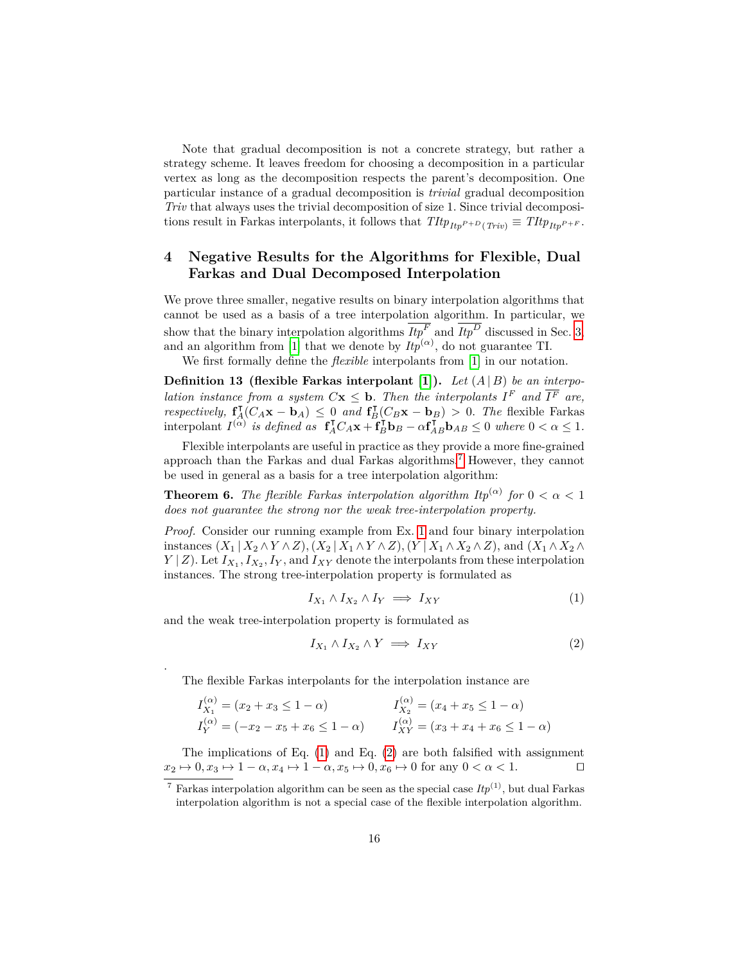Note that gradual decomposition is not a concrete strategy, but rather a strategy scheme. It leaves freedom for choosing a decomposition in a particular vertex as long as the decomposition respects the parent's decomposition. One particular instance of a gradual decomposition is *trivial* gradual decomposition *Triv* that always uses the trivial decomposition of size 1. Since trivial decompositions result in Farkas interpolants, it follows that  $T Itp_{Itp^{P+D}(Triv)} \equiv T Itp_{Itp^{P+F}}$ .

## <span id="page-15-1"></span>**4 Negative Results for the Algorithms for Flexible, Dual Farkas and Dual Decomposed Interpolation**

We prove three smaller, negative results on binary interpolation algorithms that cannot be used as a basis of a tree interpolation algorithm. In particular, we show that the binary interpolation algorithms  $Itp^F$  and  $Itp^D$  discussed in Sec. [3,](#page-5-0) and an algorithm from [\[1\]](#page-18-4) that we denote by  $Itp^{(\alpha)}$ , do not guarantee TI.

We first formally define the *flexible* interpolants from [\[1\]](#page-18-4) in our notation.

**Definition 13 (flexible Farkas interpolant [\[1\]](#page-18-4)).** *Let* (*A* | *B*) *be an interpolation instance from a system*  $C$ **x**  $\leq$  **b***. Then the interpolants*  $I<sup>F</sup>$  *and*  $\overline{I<sup>F</sup>}$  *are, respectively,*  $f_A^{\mathsf{T}}(C_A\mathbf{x} - \mathbf{b}_A) \leq 0$  *and*  $f_B^{\mathsf{T}}(C_B\mathbf{x} - \mathbf{b}_B) > 0$ *. The* flexible Farkas interpolant  $I^{(\alpha)}$  is defined as  $\mathbf{f}_A^{\mathsf{T}} C_A \mathbf{x} + \mathbf{f}_B^{\mathsf{T}} \mathbf{b}_B - \alpha \mathbf{f}_{AB}^{\mathsf{T}} \mathbf{b}_{AB} \leq 0$  where  $0 < \alpha \leq 1$ .

Flexible interpolants are useful in practice as they provide a more fine-grained approach than the Farkas and dual Farkas algorithms.[7](#page-0-0) However, they cannot be used in general as a basis for a tree interpolation algorithm:

**Theorem 6.** *The flexible Farkas interpolation algorithm*  $Itp^{(\alpha)}$  *for*  $0 < \alpha < 1$ *does not guarantee the strong nor the weak tree-interpolation property.*

*Proof.* Consider our running example from Ex. [1](#page-7-0) and four binary interpolation instances  $(X_1 | X_2 \wedge Y \wedge Z)$ ,  $(X_2 | X_1 \wedge Y \wedge Z)$ ,  $(Y | X_1 \wedge X_2 \wedge Z)$ , and  $(X_1 \wedge X_2 \wedge Z)$ *Y* | *Z*). Let  $I_{X_1}, I_{X_2}, I_Y$  and  $I_{XY}$  denote the interpolants from these interpolation instances. The strong tree-interpolation property is formulated as

<span id="page-15-2"></span><span id="page-15-0"></span>
$$
I_{X_1} \wedge I_{X_2} \wedge I_Y \implies I_{XY} \tag{1}
$$

and the weak tree-interpolation property is formulated as

.

<span id="page-15-3"></span>
$$
I_{X_1} \wedge I_{X_2} \wedge Y \implies I_{XY} \tag{2}
$$

The flexible Farkas interpolants for the interpolation instance are

$$
I_{X_1}^{(\alpha)} = (x_2 + x_3 \le 1 - \alpha)
$$
  
\n
$$
I_{X_2}^{(\alpha)} = (x_4 + x_5 \le 1 - \alpha)
$$
  
\n
$$
I_{Y}^{(\alpha)} = (-x_2 - x_5 + x_6 \le 1 - \alpha)
$$
  
\n
$$
I_{XY}^{(\alpha)} = (x_3 + x_4 + x_6 \le 1 - \alpha)
$$

The implications of Eq. [\(1\)](#page-15-2) and Eq. [\(2\)](#page-15-3) are both falsified with assignment  $x_2 \mapsto 0, x_3 \mapsto 1 - \alpha, x_4 \mapsto 1 - \alpha, x_5 \mapsto 0, x_6 \mapsto 0$  for any  $0 < \alpha < 1$ .

<sup>&</sup>lt;sup>7</sup> Farkas interpolation algorithm can be seen as the special case  $Itp^{(1)}$ , but dual Farkas interpolation algorithm is not a special case of the flexible interpolation algorithm.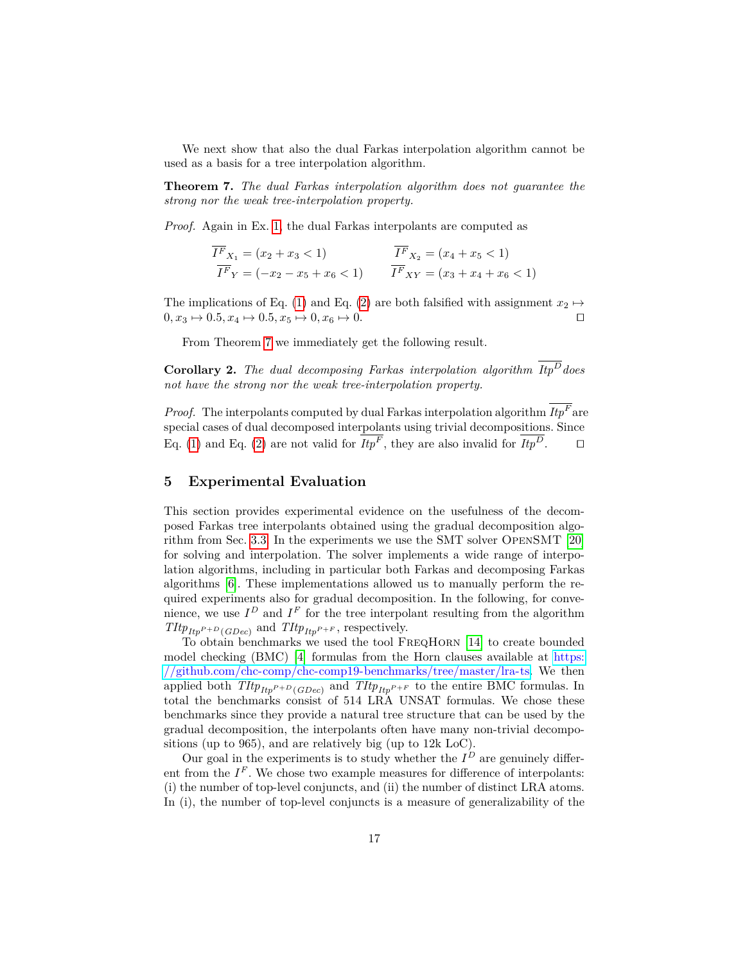We next show that also the dual Farkas interpolation algorithm cannot be used as a basis for a tree interpolation algorithm.

**Theorem 7.** *The dual Farkas interpolation algorithm does not guarantee the strong nor the weak tree-interpolation property.*

*Proof.* Again in Ex. [1,](#page-7-0) the dual Farkas interpolants are computed as

<span id="page-16-0"></span>
$$
\overline{I^F}_{X_1} = (x_2 + x_3 < 1) \qquad \qquad \overline{I^F}_{X_2} = (x_4 + x_5 < 1) \n\overline{I^F}_{Y} = (-x_2 - x_5 + x_6 < 1) \qquad \qquad \overline{I^F}_{XY} = (x_3 + x_4 + x_6 < 1)
$$

The implications of Eq. [\(1\)](#page-15-2) and Eq. [\(2\)](#page-15-3) are both falsified with assignment  $x_2 \mapsto$  $0, x_3 \mapsto 0.5, x_4 \mapsto 0.5, x_5 \mapsto 0, x_6 \mapsto 0.$ 

From Theorem [7](#page-16-0) we immediately get the following result.

<span id="page-16-1"></span>**Corollary 2.** *The dual decomposing Farkas interpolation algorithm Itp<sup>D</sup>does not have the strong nor the weak tree-interpolation property.*

*Proof.* The interpolants computed by dual Farkas interpolation algorithm  $Itp^F$  are special cases of dual decomposed interpolants using trivial decompositions. Since Eq. [\(1\)](#page-15-2) and Eq. [\(2\)](#page-15-3) are not valid for  $Itp^F$ , they are also invalid for  $Itp^D$ .  $\Box$ 

### <span id="page-16-2"></span>**5 Experimental Evaluation**

This section provides experimental evidence on the usefulness of the decomposed Farkas tree interpolants obtained using the gradual decomposition algorithm from Sec. [3.3.](#page-10-0) In the experiments we use the SMT solver OpenSMT [\[20\]](#page-19-18) for solving and interpolation. The solver implements a wide range of interpolation algorithms, including in particular both Farkas and decomposing Farkas algorithms [\[6\]](#page-18-1). These implementations allowed us to manually perform the required experiments also for gradual decomposition. In the following, for convenience, we use  $I^D$  and  $I^F$  for the tree interpolant resulting from the algorithm  $T$ *Itp*<sub>*Itp</sub>P* + *D*(*GDec*) and  $T$ *Itp*<sub>*Itp</sub>P* + *F*, respectively.</sub></sub>

To obtain benchmarks we used the tool FreqHorn [\[14\]](#page-19-19) to create bounded model checking (BMC) [\[4\]](#page-18-10) formulas from the Horn clauses available at [https:](https://github.com/chc-comp/chc-comp19-benchmarks/tree/master/lra-ts) [//github.com/chc-comp/chc-comp19-benchmarks/tree/master/lra-ts.](https://github.com/chc-comp/chc-comp19-benchmarks/tree/master/lra-ts) We then applied both  $T\ell_p P_{+D(GDec)}$  and  $T\ell_p P_{+F}$  to the entire BMC formulas. In total the benchmarks consist of 514 LRA UNSAT formulas. We chose these benchmarks since they provide a natural tree structure that can be used by the gradual decomposition, the interpolants often have many non-trivial decompositions (up to 965), and are relatively big (up to 12k LoC).

Our goal in the experiments is to study whether the  $I<sup>D</sup>$  are genuinely different from the  $I<sup>F</sup>$ . We chose two example measures for difference of interpolants: (i) the number of top-level conjuncts, and (ii) the number of distinct LRA atoms. In (i), the number of top-level conjuncts is a measure of generalizability of the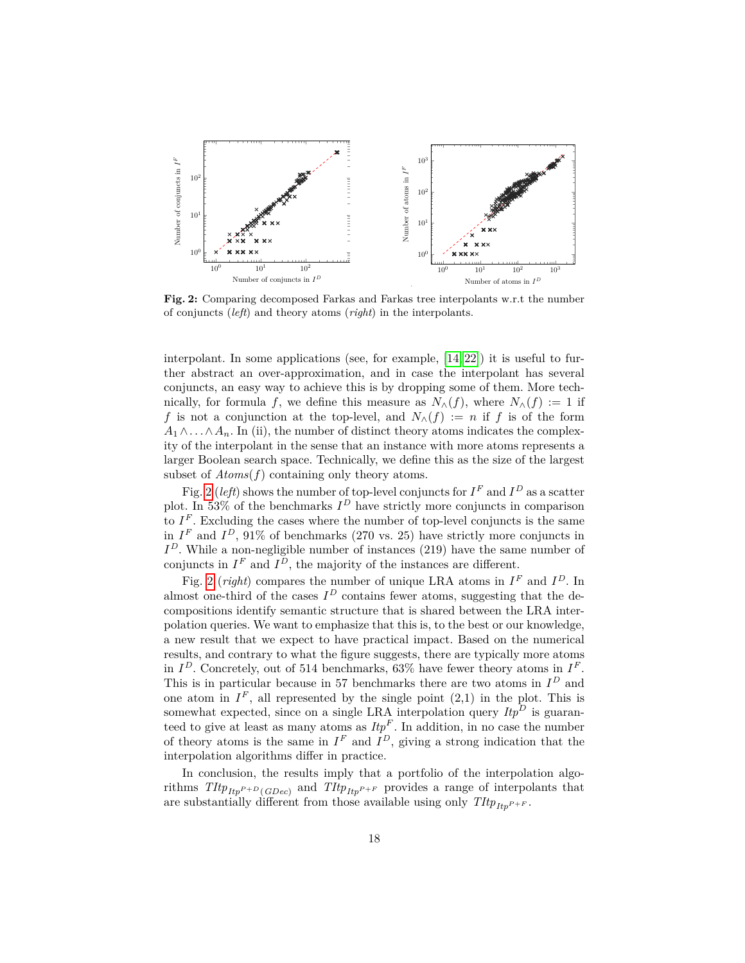<span id="page-17-0"></span>

**Fig. 2:** Comparing decomposed Farkas and Farkas tree interpolants w.r.t the number of conjuncts (*left*) and theory atoms (*right*) in the interpolants.

interpolant. In some applications (see, for example,  $[14, 22]$  $[14, 22]$ ) it is useful to further abstract an over-approximation, and in case the interpolant has several conjuncts, an easy way to achieve this is by dropping some of them. More technically, for formula *f*, we define this measure as  $N_{\Lambda}(f)$ , where  $N_{\Lambda}(f) := 1$  if *f* is not a conjunction at the top-level, and  $N_{\wedge}(f) := n$  if *f* is of the form  $A_1 \wedge \ldots \wedge A_n$ . In (ii), the number of distinct theory atoms indicates the complexity of the interpolant in the sense that an instance with more atoms represents a larger Boolean search space. Technically, we define this as the size of the largest subset of *Atoms*(*f*) containing only theory atoms.

Fig. [2](#page-17-0) (*left*) shows the number of top-level conjuncts for  $I<sup>F</sup>$  and  $I<sup>D</sup>$  as a scatter plot. In 53% of the benchmarks *I <sup>D</sup>* have strictly more conjuncts in comparison to  $I<sup>F</sup>$ . Excluding the cases where the number of top-level conjuncts is the same in  $I<sup>F</sup>$  and  $I<sup>D</sup>$ , 91% of benchmarks (270 vs. 25) have strictly more conjuncts in *I <sup>D</sup>*. While a non-negligible number of instances (219) have the same number of conjuncts in  $I^F$  and  $I^D$ , the majority of the instances are different.

Fig. [2](#page-17-0) (*right*) compares the number of unique LRA atoms in  $I<sup>F</sup>$  and  $I<sup>D</sup>$ . In almost one-third of the cases  $I^D$  contains fewer atoms, suggesting that the decompositions identify semantic structure that is shared between the LRA interpolation queries. We want to emphasize that this is, to the best or our knowledge, a new result that we expect to have practical impact. Based on the numerical results, and contrary to what the figure suggests, there are typically more atoms in  $I<sup>D</sup>$ . Concretely, out of 514 benchmarks, 63% have fewer theory atoms in  $I<sup>F</sup>$ . This is in particular because in 57 benchmarks there are two atoms in  $I<sup>D</sup>$  and one atom in  $I^F$ , all represented by the single point  $(2,1)$  in the plot. This is somewhat expected, since on a single LRA interpolation query  $Itp^D$  is guaranteed to give at least as many atoms as *Itp<sup>F</sup>* . In addition, in no case the number of theory atoms is the same in  $I^F$  and  $I^D$ , giving a strong indication that the interpolation algorithms differ in practice.

In conclusion, the results imply that a portfolio of the interpolation algorithms  $T I t p_{I t p^{P+D}(GDec)}$  and  $T I t p_{I t p^{P+F}}$  provides a range of interpolants that are substantially different from those available using only  $T I t p_{I t p^{P+F}}$ .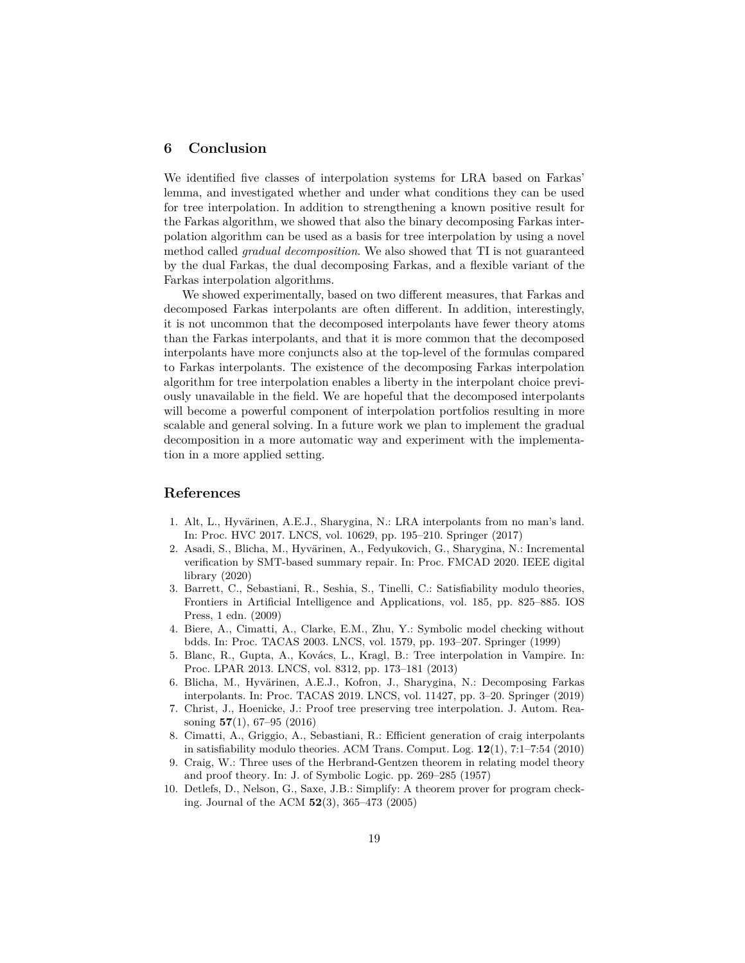### <span id="page-18-7"></span>**6 Conclusion**

We identified five classes of interpolation systems for LRA based on Farkas' lemma, and investigated whether and under what conditions they can be used for tree interpolation. In addition to strengthening a known positive result for the Farkas algorithm, we showed that also the binary decomposing Farkas interpolation algorithm can be used as a basis for tree interpolation by using a novel method called *gradual decomposition*. We also showed that TI is not guaranteed by the dual Farkas, the dual decomposing Farkas, and a flexible variant of the Farkas interpolation algorithms.

We showed experimentally, based on two different measures, that Farkas and decomposed Farkas interpolants are often different. In addition, interestingly, it is not uncommon that the decomposed interpolants have fewer theory atoms than the Farkas interpolants, and that it is more common that the decomposed interpolants have more conjuncts also at the top-level of the formulas compared to Farkas interpolants. The existence of the decomposing Farkas interpolation algorithm for tree interpolation enables a liberty in the interpolant choice previously unavailable in the field. We are hopeful that the decomposed interpolants will become a powerful component of interpolation portfolios resulting in more scalable and general solving. In a future work we plan to implement the gradual decomposition in a more automatic way and experiment with the implementation in a more applied setting.

#### **References**

- <span id="page-18-4"></span>1. Alt, L., Hyvärinen, A.E.J., Sharygina, N.: LRA interpolants from no man's land. In: Proc. HVC 2017. LNCS, vol. 10629, pp. 195–210. Springer (2017)
- <span id="page-18-6"></span>2. Asadi, S., Blicha, M., Hyvärinen, A., Fedyukovich, G., Sharygina, N.: Incremental verification by SMT-based summary repair. In: Proc. FMCAD 2020. IEEE digital library (2020)
- <span id="page-18-8"></span>3. Barrett, C., Sebastiani, R., Seshia, S., Tinelli, C.: Satisfiability modulo theories, Frontiers in Artificial Intelligence and Applications, vol. 185, pp. 825–885. IOS Press, 1 edn. (2009)
- <span id="page-18-10"></span>4. Biere, A., Cimatti, A., Clarke, E.M., Zhu, Y.: Symbolic model checking without bdds. In: Proc. TACAS 2003. LNCS, vol. 1579, pp. 193–207. Springer (1999)
- <span id="page-18-3"></span>5. Blanc, R., Gupta, A., Kovács, L., Kragl, B.: Tree interpolation in Vampire. In: Proc. LPAR 2013. LNCS, vol. 8312, pp. 173–181 (2013)
- <span id="page-18-1"></span>6. Blicha, M., Hyvärinen, A.E.J., Kofron, J., Sharygina, N.: Decomposing Farkas interpolants. In: Proc. TACAS 2019. LNCS, vol. 11427, pp. 3–20. Springer (2019)
- <span id="page-18-2"></span>7. Christ, J., Hoenicke, J.: Proof tree preserving tree interpolation. J. Autom. Reasoning **57**(1), 67–95 (2016)
- <span id="page-18-5"></span>8. Cimatti, A., Griggio, A., Sebastiani, R.: Efficient generation of craig interpolants in satisfiability modulo theories. ACM Trans. Comput. Log. **12**(1), 7:1–7:54 (2010)
- <span id="page-18-0"></span>9. Craig, W.: Three uses of the Herbrand-Gentzen theorem in relating model theory and proof theory. In: J. of Symbolic Logic. pp. 269–285 (1957)
- <span id="page-18-9"></span>10. Detlefs, D., Nelson, G., Saxe, J.B.: Simplify: A theorem prover for program checking. Journal of the ACM **52**(3), 365–473 (2005)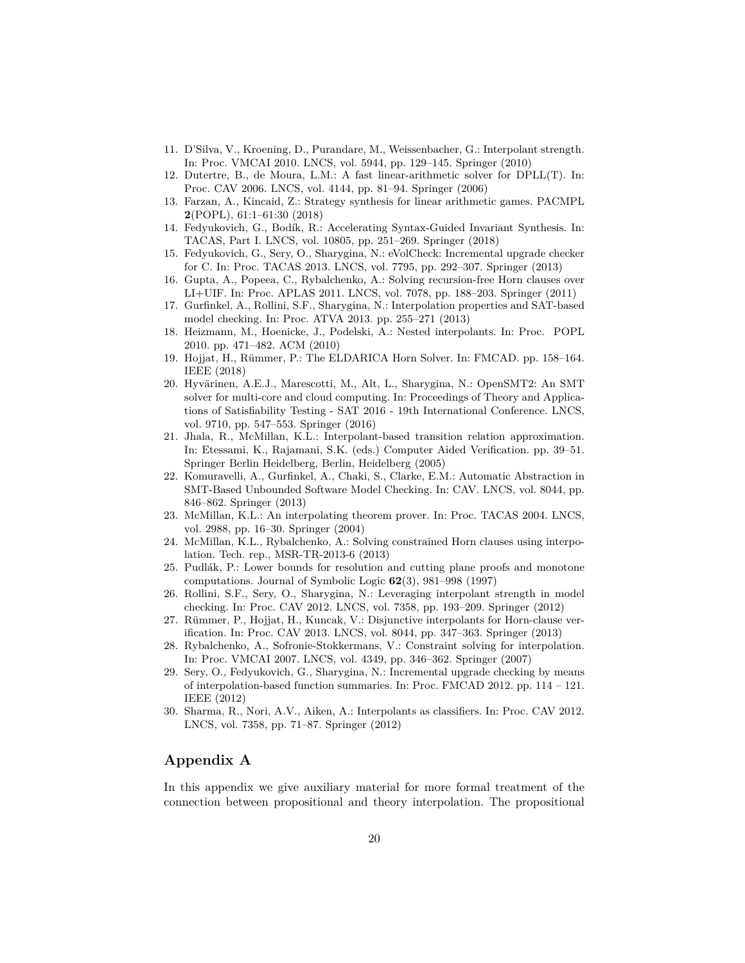- <span id="page-19-5"></span>11. D'Silva, V., Kroening, D., Purandare, M., Weissenbacher, G.: Interpolant strength. In: Proc. VMCAI 2010. LNCS, vol. 5944, pp. 129–145. Springer (2010)
- <span id="page-19-16"></span>12. Dutertre, B., de Moura, L.M.: A fast linear-arithmetic solver for DPLL(T). In: Proc. CAV 2006. LNCS, vol. 4144, pp. 81–94. Springer (2006)
- <span id="page-19-3"></span>13. Farzan, A., Kincaid, Z.: Strategy synthesis for linear arithmetic games. PACMPL **2**(POPL), 61:1–61:30 (2018)
- <span id="page-19-19"></span>14. Fedyukovich, G., Bodík, R.: Accelerating Syntax-Guided Invariant Synthesis. In: TACAS, Part I. LNCS, vol. 10805, pp. 251–269. Springer (2018)
- <span id="page-19-0"></span>15. Fedyukovich, G., Sery, O., Sharygina, N.: eVolCheck: Incremental upgrade checker for C. In: Proc. TACAS 2013. LNCS, vol. 7795, pp. 292–307. Springer (2013)
- <span id="page-19-1"></span>16. Gupta, A., Popeea, C., Rybalchenko, A.: Solving recursion-free Horn clauses over LI+UIF. In: Proc. APLAS 2011. LNCS, vol. 7078, pp. 188–203. Springer (2011)
- <span id="page-19-11"></span>17. Gurfinkel, A., Rollini, S.F., Sharygina, N.: Interpolation properties and SAT-based model checking. In: Proc. ATVA 2013. pp. 255–271 (2013)
- <span id="page-19-9"></span>18. Heizmann, M., Hoenicke, J., Podelski, A.: Nested interpolants. In: Proc. POPL 2010. pp. 471–482. ACM (2010)
- <span id="page-19-14"></span>19. Hojjat, H., Rümmer, P.: The ELDARICA Horn Solver. In: FMCAD. pp. 158–164. IEEE (2018)
- <span id="page-19-18"></span>20. Hyvärinen, A.E.J., Marescotti, M., Alt, L., Sharygina, N.: OpenSMT2: An SMT solver for multi-core and cloud computing. In: Proceedings of Theory and Applications of Satisfiability Testing - SAT 2016 - 19th International Conference. LNCS, vol. 9710, pp. 547–553. Springer (2016)
- <span id="page-19-17"></span>21. Jhala, R., McMillan, K.L.: Interpolant-based transition relation approximation. In: Etessami, K., Rajamani, S.K. (eds.) Computer Aided Verification. pp. 39–51. Springer Berlin Heidelberg, Berlin, Heidelberg (2005)
- <span id="page-19-20"></span>22. Komuravelli, A., Gurfinkel, A., Chaki, S., Clarke, E.M.: Automatic Abstraction in SMT-Based Unbounded Software Model Checking. In: CAV. LNCS, vol. 8044, pp. 846–862. Springer (2013)
- <span id="page-19-4"></span>23. McMillan, K.L.: An interpolating theorem prover. In: Proc. TACAS 2004. LNCS, vol. 2988, pp. 16–30. Springer (2004)
- <span id="page-19-10"></span>24. McMillan, K.L., Rybalchenko, A.: Solving constrained Horn clauses using interpolation. Tech. rep., MSR-TR-2013-6 (2013)
- <span id="page-19-6"></span>25. Pudlák, P.: Lower bounds for resolution and cutting plane proofs and monotone computations. Journal of Symbolic Logic **62**(3), 981–998 (1997)
- <span id="page-19-12"></span>26. Rollini, S.F., Sery, O., Sharygina, N.: Leveraging interpolant strength in model checking. In: Proc. CAV 2012. LNCS, vol. 7358, pp. 193–209. Springer (2012)
- <span id="page-19-2"></span>27. Rümmer, P., Hojjat, H., Kuncak, V.: Disjunctive interpolants for Horn-clause verification. In: Proc. CAV 2013. LNCS, vol. 8044, pp. 347–363. Springer (2013)
- <span id="page-19-7"></span>28. Rybalchenko, A., Sofronie-Stokkermans, V.: Constraint solving for interpolation. In: Proc. VMCAI 2007. LNCS, vol. 4349, pp. 346–362. Springer (2007)
- <span id="page-19-13"></span>29. Sery, O., Fedyukovich, G., Sharygina, N.: Incremental upgrade checking by means of interpolation-based function summaries. In: Proc. FMCAD 2012. pp. 114 – 121. IEEE (2012)
- <span id="page-19-8"></span>30. Sharma, R., Nori, A.V., Aiken, A.: Interpolants as classifiers. In: Proc. CAV 2012. LNCS, vol. 7358, pp. 71–87. Springer (2012)

# <span id="page-19-15"></span>**Appendix A**

In this appendix we give auxiliary material for more formal treatment of the connection between propositional and theory interpolation. The propositional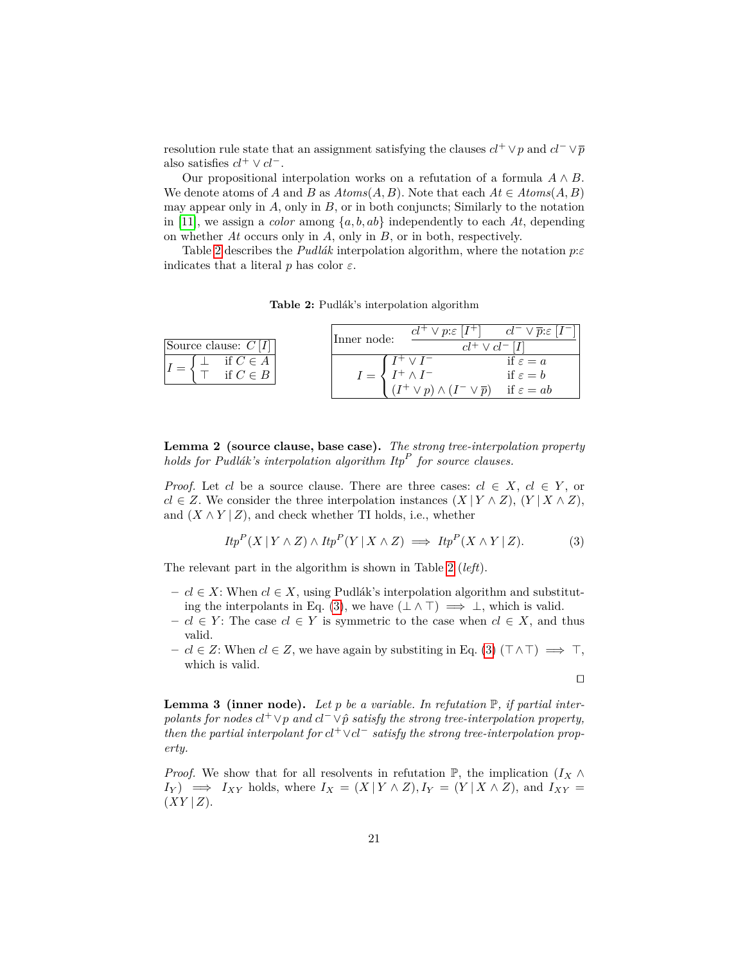resolution rule state that an assignment satisfying the clauses  $cl^+ \vee p$  and  $cl^- \vee \overline{p}$ also satisfies  $cl^+ \vee cl^-$ .

Our propositional interpolation works on a refutation of a formula  $A \wedge B$ . We denote atoms of *A* and *B* as  $Atoms(A, B)$ . Note that each  $At \in Atoms(A, B)$ may appear only in *A*, only in *B*, or in both conjuncts; Similarly to the notation in [\[11\]](#page-19-5), we assign a *color* among  $\{a, b, ab\}$  independently to each At, depending on whether *At* occurs only in *A*, only in *B*, or in both, respectively.

Table [2](#page-20-2) describes the *Pudl´ak* interpolation algorithm, where the notation *p*:*ε* indicates that a literal  $p$  has color  $\varepsilon$ .

**Table 2:** Pudlák's interpolation algorithm

<span id="page-20-2"></span>

| Source clause: $C[I]$ | Inner node:                                                    | $\vee p:\varepsilon  I^+ $<br>$cl^+$                           | $cl^- \vee \overline{p}$ : $\epsilon$  I<br>$\sim$ V $cl^{-}$ $\sim$ |
|-----------------------|----------------------------------------------------------------|----------------------------------------------------------------|----------------------------------------------------------------------|
| if $C \in A$          | $I = \begin{cases} I^+ \vee I^- \\ I^+ \wedge I^- \end{cases}$ |                                                                | if $\varepsilon = a$                                                 |
| if $C \in B$          |                                                                |                                                                | if $\varepsilon = b$                                                 |
|                       |                                                                | $\vee p) \wedge (I^- \vee \overline{p})$ if $\varepsilon = ab$ |                                                                      |

<span id="page-20-0"></span>**Lemma 2 (source clause, base case).** *The strong tree-interpolation property holds for Pudl´ak's interpolation algorithm Itp<sup>P</sup> for source clauses.*

*Proof.* Let *cl* be a source clause. There are three cases:  $cl \in X$ ,  $cl \in Y$ , or  $cl \in Z$ . We consider the three interpolation instances  $(X | Y \wedge Z)$ ,  $(Y | X \wedge Z)$ , and  $(X \wedge Y | Z)$ , and check whether TI holds, i.e., whether

<span id="page-20-3"></span>
$$
Itp^{P}(X \mid Y \wedge Z) \wedge Itp^{P}(Y \mid X \wedge Z) \implies Itp^{P}(X \wedge Y \mid Z). \tag{3}
$$

The relevant part in the algorithm is shown in Table [2](#page-20-2) (*left*).

- $−$  *cl* ∈ *X*: When *cl* ∈ *X*, using Pudlák's interpolation algorithm and substitut-ing the interpolants in Eq. [\(3\)](#page-20-3), we have  $(\perp \wedge \top) \implies \perp$ , which is valid.
- $c*l* ∈ *Y*: The case *cl* ∈ *Y* is symmetric to the case when *cl* ∈ *X*, and thus$ valid.
- $c \in \mathbb{Z}$ : When  $c \in \mathbb{Z}$ , we have again by substiting in Eq. [\(3\)](#page-20-3) (⊤∧⊤)  $\implies$  ⊤, which is valid.

 $\Box$ 

<span id="page-20-1"></span>**Lemma 3 (inner node).** *Let p be a variable. In refutation* P*, if partial interpolants for nodes*  $cl^+\vee p$  *and*  $cl^-\vee \hat{p}$  *satisfy the strong tree-interpolation property, then the partial interpolant for*  $cl^+\vee cl^-$  *satisfy the strong tree-interpolation property.*

*Proof.* We show that for all resolvents in refutation  $\mathbb{P}$ , the implication  $(I_X \wedge$  $I_Y$   $\implies$  *I<sub>XY</sub>* holds, where  $I_X = (X | Y \wedge Z), I_Y = (Y | X \wedge Z)$ , and  $I_{XY} =$  $(XY|Z)$ .